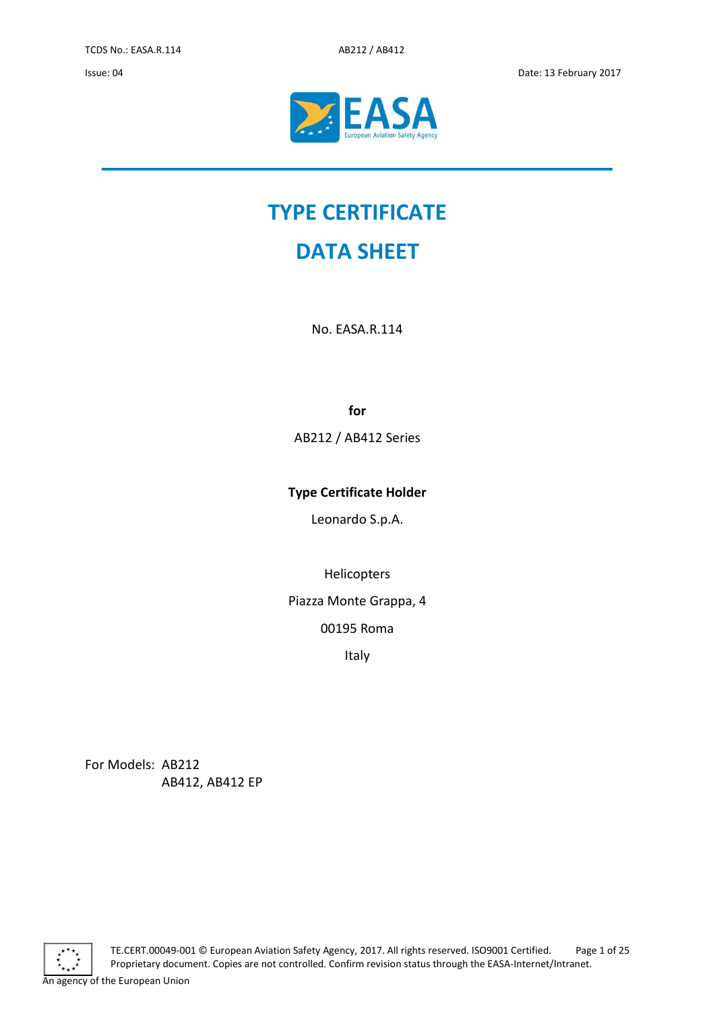Issue: 04 Date: 13 February 2017



# **TYPE CERTIFICATE**

## **DATA SHEET**

No. EASA.R.114

**for**

AB212 / AB412 Series

### **Type Certificate Holder**

Leonardo S.p.A.

Helicopters

Piazza Monte Grappa, 4

00195 Roma

Italy

For Models: AB212 AB412, AB412 EP



TE.CERT.00049-001 © European Aviation Safety Agency, 2017. All rights reserved. ISO9001 Certified. Page 1 of 25 Proprietary document. Copies are not controlled. Confirm revision status through the EASA-Internet/Intranet. An agency of the European Union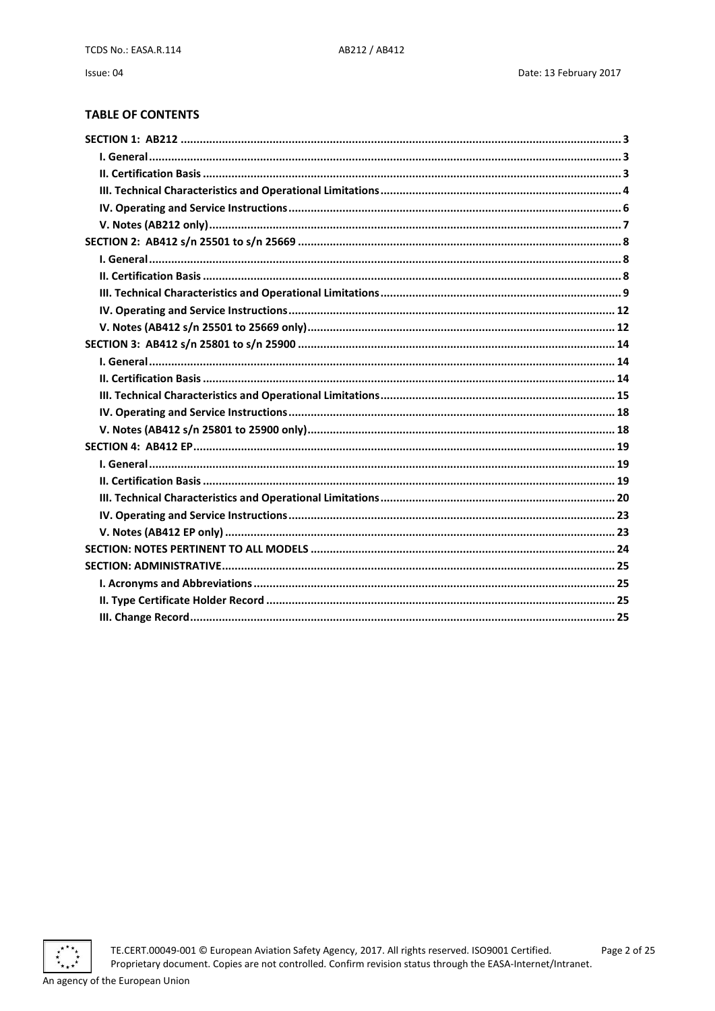**TABLE OF CONTENTS** 

Issue: 04

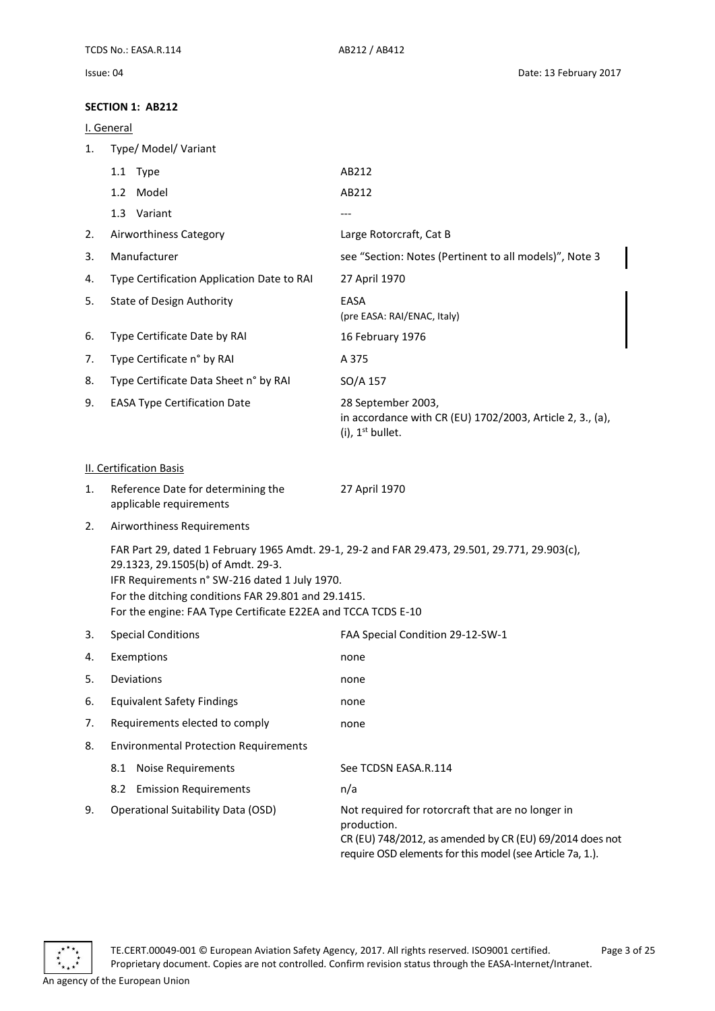#### <span id="page-2-0"></span>**SECTION 1: AB212**

<span id="page-2-2"></span><span id="page-2-1"></span>

|    | JELIIUN I. ADZIZ                                                                                                                                                                                            |                                                                                                                                                                                           |
|----|-------------------------------------------------------------------------------------------------------------------------------------------------------------------------------------------------------------|-------------------------------------------------------------------------------------------------------------------------------------------------------------------------------------------|
|    | I. General                                                                                                                                                                                                  |                                                                                                                                                                                           |
| 1. | Type/ Model/ Variant                                                                                                                                                                                        |                                                                                                                                                                                           |
|    | 1.1 Type                                                                                                                                                                                                    | AB212                                                                                                                                                                                     |
|    | 1.2 Model                                                                                                                                                                                                   | AB212                                                                                                                                                                                     |
|    | 1.3 Variant                                                                                                                                                                                                 | ---                                                                                                                                                                                       |
| 2. | Airworthiness Category                                                                                                                                                                                      | Large Rotorcraft, Cat B                                                                                                                                                                   |
| 3. | Manufacturer                                                                                                                                                                                                | see "Section: Notes (Pertinent to all models)", Note 3                                                                                                                                    |
| 4. | Type Certification Application Date to RAI                                                                                                                                                                  | 27 April 1970                                                                                                                                                                             |
| 5. | <b>State of Design Authority</b>                                                                                                                                                                            | EASA<br>(pre EASA: RAI/ENAC, Italy)                                                                                                                                                       |
| 6. | Type Certificate Date by RAI                                                                                                                                                                                | 16 February 1976                                                                                                                                                                          |
| 7. | Type Certificate n° by RAI                                                                                                                                                                                  | A 375                                                                                                                                                                                     |
| 8. | Type Certificate Data Sheet n° by RAI                                                                                                                                                                       | SO/A 157                                                                                                                                                                                  |
| 9. | <b>EASA Type Certification Date</b>                                                                                                                                                                         | 28 September 2003,<br>in accordance with CR (EU) 1702/2003, Article 2, 3., (a),<br>$(i)$ , 1 <sup>st</sup> bullet.                                                                        |
|    | <b>II. Certification Basis</b>                                                                                                                                                                              |                                                                                                                                                                                           |
| 1. | Reference Date for determining the<br>applicable requirements                                                                                                                                               | 27 April 1970                                                                                                                                                                             |
| 2. | Airworthiness Requirements                                                                                                                                                                                  |                                                                                                                                                                                           |
|    | 29.1323, 29.1505(b) of Amdt. 29-3.<br>IFR Requirements n° SW-216 dated 1 July 1970.<br>For the ditching conditions FAR 29.801 and 29.1415.<br>For the engine: FAA Type Certificate E22EA and TCCA TCDS E-10 | FAR Part 29, dated 1 February 1965 Amdt. 29-1, 29-2 and FAR 29.473, 29.501, 29.771, 29.903(c),                                                                                            |
| 3. | <b>Special Conditions</b>                                                                                                                                                                                   | FAA Special Condition 29-12-SW-1                                                                                                                                                          |
| 4. | Exemptions                                                                                                                                                                                                  | none                                                                                                                                                                                      |
| 5. | Deviations                                                                                                                                                                                                  | none                                                                                                                                                                                      |
| 6. | <b>Equivalent Safety Findings</b>                                                                                                                                                                           | none                                                                                                                                                                                      |
| 7. | Requirements elected to comply                                                                                                                                                                              | none                                                                                                                                                                                      |
| 8. | <b>Environmental Protection Requirements</b>                                                                                                                                                                |                                                                                                                                                                                           |
|    | <b>Noise Requirements</b><br>8.1                                                                                                                                                                            | See TCDSN EASA.R.114                                                                                                                                                                      |
|    | <b>Emission Requirements</b><br>8.2                                                                                                                                                                         | n/a                                                                                                                                                                                       |
| 9. | <b>Operational Suitability Data (OSD)</b>                                                                                                                                                                   | Not required for rotorcraft that are no longer in<br>production.<br>CR (EU) 748/2012, as amended by CR (EU) 69/2014 does not<br>require OSD elements for this model (see Article 7a, 1.). |

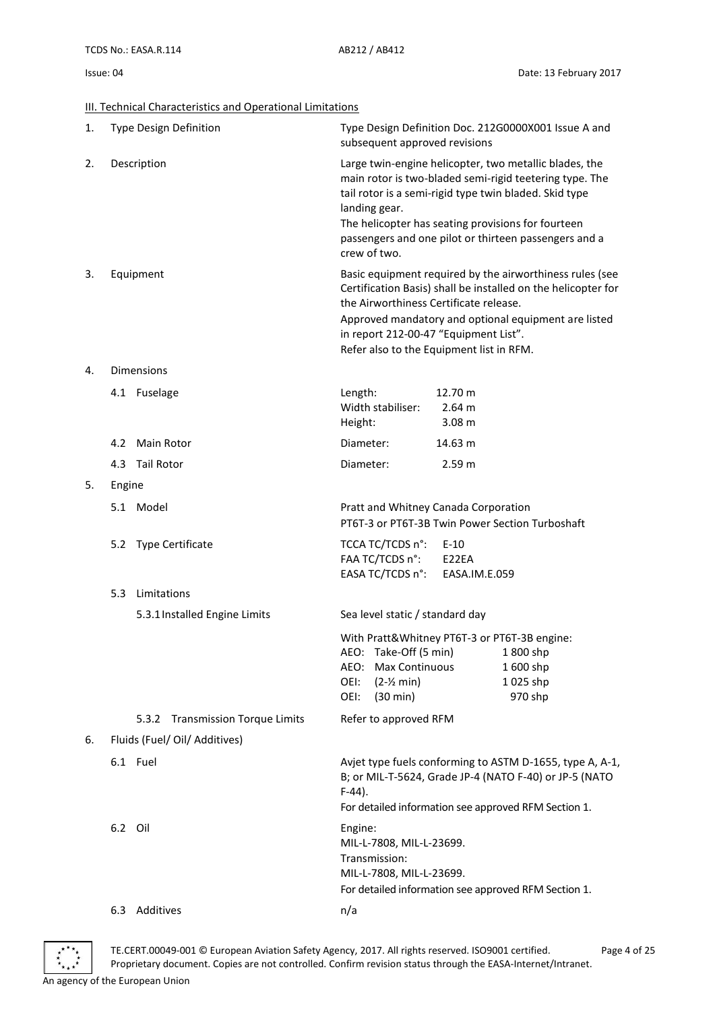#### <span id="page-3-0"></span>**III. Technical Characteristics and Operational Limitations**

| 1. |           | <b>Type Design Definition</b>              | Type Design Definition Doc. 212G0000X001 Issue A and<br>subsequent approved revisions                                                                                                                                                                                                                                       |  |
|----|-----------|--------------------------------------------|-----------------------------------------------------------------------------------------------------------------------------------------------------------------------------------------------------------------------------------------------------------------------------------------------------------------------------|--|
| 2. |           | Description                                | Large twin-engine helicopter, two metallic blades, the<br>main rotor is two-bladed semi-rigid teetering type. The<br>tail rotor is a semi-rigid type twin bladed. Skid type<br>landing gear.<br>The helicopter has seating provisions for fourteen<br>passengers and one pilot or thirteen passengers and a<br>crew of two. |  |
| 3. | Equipment |                                            | Basic equipment required by the airworthiness rules (see<br>Certification Basis) shall be installed on the helicopter for<br>the Airworthiness Certificate release.<br>Approved mandatory and optional equipment are listed<br>in report 212-00-47 "Equipment List".<br>Refer also to the Equipment list in RFM.            |  |
| 4. |           | Dimensions                                 |                                                                                                                                                                                                                                                                                                                             |  |
|    |           | 4.1 Fuselage                               | Length:<br>12.70 m<br>Width stabiliser:<br>2.64 m<br>3.08 <sub>m</sub><br>Height:                                                                                                                                                                                                                                           |  |
|    |           | 4.2 Main Rotor                             | Diameter:<br>14.63 m                                                                                                                                                                                                                                                                                                        |  |
|    |           | 4.3 Tail Rotor                             | Diameter:<br>2.59 m                                                                                                                                                                                                                                                                                                         |  |
| 5. | Engine    |                                            |                                                                                                                                                                                                                                                                                                                             |  |
|    |           | 5.1 Model                                  | Pratt and Whitney Canada Corporation<br>PT6T-3 or PT6T-3B Twin Power Section Turboshaft                                                                                                                                                                                                                                     |  |
|    |           | 5.2 Type Certificate                       | TCCA TC/TCDS n°:<br>$E-10$<br>FAA TC/TCDS n°:<br>E22EA<br>EASA TC/TCDS n°:<br>EASA.IM.E.059                                                                                                                                                                                                                                 |  |
|    | 5.3       | Limitations                                |                                                                                                                                                                                                                                                                                                                             |  |
|    |           | 5.3.1 Installed Engine Limits              | Sea level static / standard day                                                                                                                                                                                                                                                                                             |  |
|    |           |                                            | With Pratt&Whitney PT6T-3 or PT6T-3B engine:<br>AEO: Take-Off (5 min)<br>1 800 shp<br>Max Continuous<br>1600 shp<br>AEO:<br>OEI:<br>1025 shp<br>$(2-Y min)$<br>970 shp<br>OEI:<br>$(30 \text{ min})$                                                                                                                        |  |
|    |           | <b>Transmission Torque Limits</b><br>5.3.2 | Refer to approved RFM                                                                                                                                                                                                                                                                                                       |  |
| 6. |           | Fluids (Fuel/ Oil/ Additives)              |                                                                                                                                                                                                                                                                                                                             |  |
|    |           | 6.1 Fuel                                   | Avjet type fuels conforming to ASTM D-1655, type A, A-1,<br>B; or MIL-T-5624, Grade JP-4 (NATO F-40) or JP-5 (NATO<br>$F-44$ ).<br>For detailed information see approved RFM Section 1.                                                                                                                                     |  |
|    | 6.2 Oil   |                                            | Engine:<br>MIL-L-7808, MIL-L-23699.<br>Transmission:<br>MIL-L-7808, MIL-L-23699.<br>For detailed information see approved RFM Section 1.                                                                                                                                                                                    |  |



TE.CERT.00049-001 © European Aviation Safety Agency, 2017. All rights reserved. ISO9001 certified. Page 4 of 25 Proprietary document. Copies are not controlled. Confirm revision status through the EASA-Internet/Intranet. An agency of the European Union

6.3 Additives n/a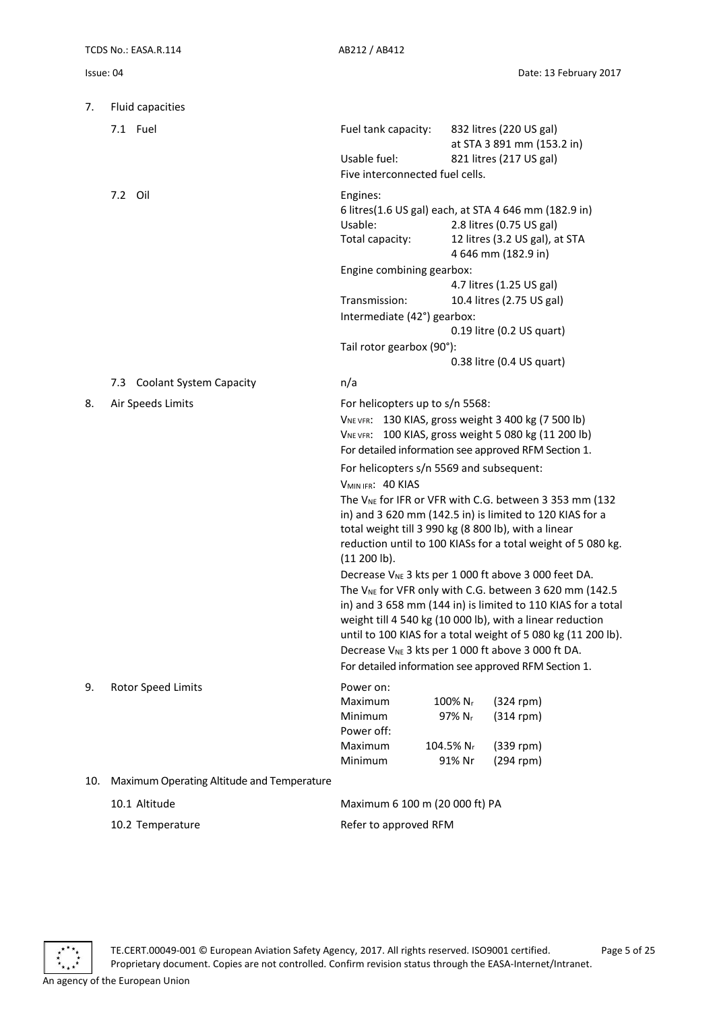| 7.  | Fluid capacities                           |                                                                                                                                                                                                                                                                                                                |                                                      |                                                                                                                                                                                                                                                                                                                                                                                                                                                                                                                                                                                                                                                        |  |  |
|-----|--------------------------------------------|----------------------------------------------------------------------------------------------------------------------------------------------------------------------------------------------------------------------------------------------------------------------------------------------------------------|------------------------------------------------------|--------------------------------------------------------------------------------------------------------------------------------------------------------------------------------------------------------------------------------------------------------------------------------------------------------------------------------------------------------------------------------------------------------------------------------------------------------------------------------------------------------------------------------------------------------------------------------------------------------------------------------------------------------|--|--|
|     | 7.1 Fuel                                   | Fuel tank capacity:                                                                                                                                                                                                                                                                                            |                                                      | 832 litres (220 US gal)<br>at STA 3 891 mm (153.2 in)                                                                                                                                                                                                                                                                                                                                                                                                                                                                                                                                                                                                  |  |  |
|     |                                            | Usable fuel:                                                                                                                                                                                                                                                                                                   |                                                      | 821 litres (217 US gal)                                                                                                                                                                                                                                                                                                                                                                                                                                                                                                                                                                                                                                |  |  |
|     |                                            | Five interconnected fuel cells.                                                                                                                                                                                                                                                                                |                                                      |                                                                                                                                                                                                                                                                                                                                                                                                                                                                                                                                                                                                                                                        |  |  |
|     | 7.2 Oil                                    | Engines:<br>Usable:<br>Total capacity:                                                                                                                                                                                                                                                                         |                                                      | 6 litres(1.6 US gal) each, at STA 4 646 mm (182.9 in)<br>2.8 litres (0.75 US gal)<br>12 litres (3.2 US gal), at STA<br>4 646 mm (182.9 in)                                                                                                                                                                                                                                                                                                                                                                                                                                                                                                             |  |  |
|     |                                            | Engine combining gearbox:<br>4.7 litres (1.25 US gal)                                                                                                                                                                                                                                                          |                                                      |                                                                                                                                                                                                                                                                                                                                                                                                                                                                                                                                                                                                                                                        |  |  |
|     |                                            | Transmission:                                                                                                                                                                                                                                                                                                  |                                                      | 10.4 litres (2.75 US gal)                                                                                                                                                                                                                                                                                                                                                                                                                                                                                                                                                                                                                              |  |  |
|     |                                            | Intermediate (42°) gearbox:                                                                                                                                                                                                                                                                                    |                                                      |                                                                                                                                                                                                                                                                                                                                                                                                                                                                                                                                                                                                                                                        |  |  |
|     |                                            |                                                                                                                                                                                                                                                                                                                |                                                      | 0.19 litre (0.2 US quart)                                                                                                                                                                                                                                                                                                                                                                                                                                                                                                                                                                                                                              |  |  |
|     |                                            | Tail rotor gearbox (90°):                                                                                                                                                                                                                                                                                      |                                                      |                                                                                                                                                                                                                                                                                                                                                                                                                                                                                                                                                                                                                                                        |  |  |
|     |                                            |                                                                                                                                                                                                                                                                                                                |                                                      | 0.38 litre (0.4 US quart)                                                                                                                                                                                                                                                                                                                                                                                                                                                                                                                                                                                                                              |  |  |
|     | 7.3 Coolant System Capacity                | n/a                                                                                                                                                                                                                                                                                                            |                                                      |                                                                                                                                                                                                                                                                                                                                                                                                                                                                                                                                                                                                                                                        |  |  |
| 8.  | Air Speeds Limits                          | For helicopters up to s/n 5568:<br>VNE VFR: 130 KIAS, gross weight 3 400 kg (7 500 lb)<br>For helicopters s/n 5569 and subsequent:<br>V <sub>MIN IFR</sub> : 40 KIAS<br>total weight till 3 990 kg (8 800 lb), with a linear<br>(11 200 lb).<br>Decrease V <sub>NE</sub> 3 kts per 1 000 ft above 3 000 ft DA. |                                                      | VNE VFR: 100 KIAS, gross weight 5 080 kg (11 200 lb)<br>For detailed information see approved RFM Section 1.<br>The V <sub>NE</sub> for IFR or VFR with C.G. between 3 353 mm (132<br>in) and 3 620 mm (142.5 in) is limited to 120 KIAS for a<br>reduction until to 100 KIASs for a total weight of 5 080 kg.<br>Decrease V <sub>NE</sub> 3 kts per 1 000 ft above 3 000 feet DA.<br>The V <sub>NE</sub> for VFR only with C.G. between 3 620 mm (142.5<br>in) and 3 658 mm (144 in) is limited to 110 KIAS for a total<br>weight till 4 540 kg (10 000 lb), with a linear reduction<br>until to 100 KIAS for a total weight of 5 080 kg (11 200 lb). |  |  |
| 9.  | Rotor Speed Limits                         | Power on:<br>Maximum<br>Minimum<br>Power off:<br>Maximum<br>Minimum                                                                                                                                                                                                                                            | 100% Nr<br>97% Nr<br>104.5% N <sub>r</sub><br>91% Nr | For detailed information see approved RFM Section 1.<br>$(324$ rpm)<br>$(314$ rpm)<br>$(339$ rpm)<br>(294 rpm)                                                                                                                                                                                                                                                                                                                                                                                                                                                                                                                                         |  |  |
| 10. | Maximum Operating Altitude and Temperature |                                                                                                                                                                                                                                                                                                                |                                                      |                                                                                                                                                                                                                                                                                                                                                                                                                                                                                                                                                                                                                                                        |  |  |
|     | 10.1 Altitude                              |                                                                                                                                                                                                                                                                                                                | Maximum 6 100 m (20 000 ft) PA                       |                                                                                                                                                                                                                                                                                                                                                                                                                                                                                                                                                                                                                                                        |  |  |
|     | 10.2 Temperature                           | Refer to approved RFM                                                                                                                                                                                                                                                                                          |                                                      |                                                                                                                                                                                                                                                                                                                                                                                                                                                                                                                                                                                                                                                        |  |  |

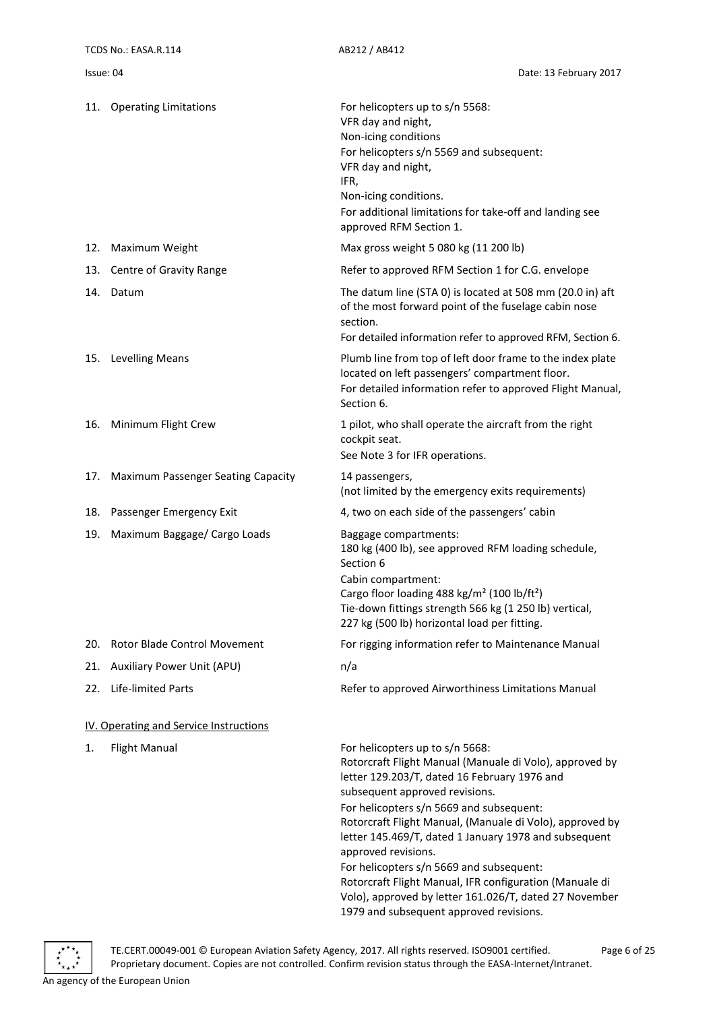|     | 11. Operating Limitations              | For helicopters up to s/n 5568:<br>VFR day and night,<br>Non-icing conditions<br>For helicopters s/n 5569 and subsequent:<br>VFR day and night,<br>IFR,<br>Non-icing conditions.<br>For additional limitations for take-off and landing see<br>approved RFM Section 1.                                                                                                                                                                                                                                                                                                           |
|-----|----------------------------------------|----------------------------------------------------------------------------------------------------------------------------------------------------------------------------------------------------------------------------------------------------------------------------------------------------------------------------------------------------------------------------------------------------------------------------------------------------------------------------------------------------------------------------------------------------------------------------------|
| 12. | Maximum Weight                         | Max gross weight 5 080 kg (11 200 lb)                                                                                                                                                                                                                                                                                                                                                                                                                                                                                                                                            |
| 13. | Centre of Gravity Range                | Refer to approved RFM Section 1 for C.G. envelope                                                                                                                                                                                                                                                                                                                                                                                                                                                                                                                                |
|     | 14. Datum                              | The datum line (STA 0) is located at 508 mm (20.0 in) aft<br>of the most forward point of the fuselage cabin nose<br>section.<br>For detailed information refer to approved RFM, Section 6.                                                                                                                                                                                                                                                                                                                                                                                      |
|     | 15. Levelling Means                    | Plumb line from top of left door frame to the index plate<br>located on left passengers' compartment floor.<br>For detailed information refer to approved Flight Manual,<br>Section 6.                                                                                                                                                                                                                                                                                                                                                                                           |
| 16. | Minimum Flight Crew                    | 1 pilot, who shall operate the aircraft from the right<br>cockpit seat.<br>See Note 3 for IFR operations.                                                                                                                                                                                                                                                                                                                                                                                                                                                                        |
| 17. | Maximum Passenger Seating Capacity     | 14 passengers,<br>(not limited by the emergency exits requirements)                                                                                                                                                                                                                                                                                                                                                                                                                                                                                                              |
| 18. | Passenger Emergency Exit               | 4, two on each side of the passengers' cabin                                                                                                                                                                                                                                                                                                                                                                                                                                                                                                                                     |
| 19. | Maximum Baggage/ Cargo Loads           | Baggage compartments:<br>180 kg (400 lb), see approved RFM loading schedule,<br>Section 6<br>Cabin compartment:<br>Cargo floor loading 488 kg/m <sup>2</sup> (100 lb/ft <sup>2</sup> )<br>Tie-down fittings strength 566 kg (1 250 lb) vertical,<br>227 kg (500 lb) horizontal load per fitting.                                                                                                                                                                                                                                                                                 |
| 20. | <b>Rotor Blade Control Movement</b>    | For rigging information refer to Maintenance Manual                                                                                                                                                                                                                                                                                                                                                                                                                                                                                                                              |
| 21. | <b>Auxiliary Power Unit (APU)</b>      | n/a                                                                                                                                                                                                                                                                                                                                                                                                                                                                                                                                                                              |
| 22. | <b>Life-limited Parts</b>              | Refer to approved Airworthiness Limitations Manual                                                                                                                                                                                                                                                                                                                                                                                                                                                                                                                               |
|     | IV. Operating and Service Instructions |                                                                                                                                                                                                                                                                                                                                                                                                                                                                                                                                                                                  |
| 1.  | <b>Flight Manual</b>                   | For helicopters up to s/n 5668:<br>Rotorcraft Flight Manual (Manuale di Volo), approved by<br>letter 129.203/T, dated 16 February 1976 and<br>subsequent approved revisions.<br>For helicopters s/n 5669 and subsequent:<br>Rotorcraft Flight Manual, (Manuale di Volo), approved by<br>letter 145.469/T, dated 1 January 1978 and subsequent<br>approved revisions.<br>For helicopters s/n 5669 and subsequent:<br>Rotorcraft Flight Manual, IFR configuration (Manuale di<br>Volo), approved by letter 161.026/T, dated 27 November<br>1979 and subsequent approved revisions. |

<span id="page-5-0"></span>

TE.CERT.00049-001 © European Aviation Safety Agency, 2017. All rights reserved. ISO9001 certified. Page 6 of 25 Proprietary document. Copies are not controlled. Confirm revision status through the EASA-Internet/Intranet. An agency of the European Union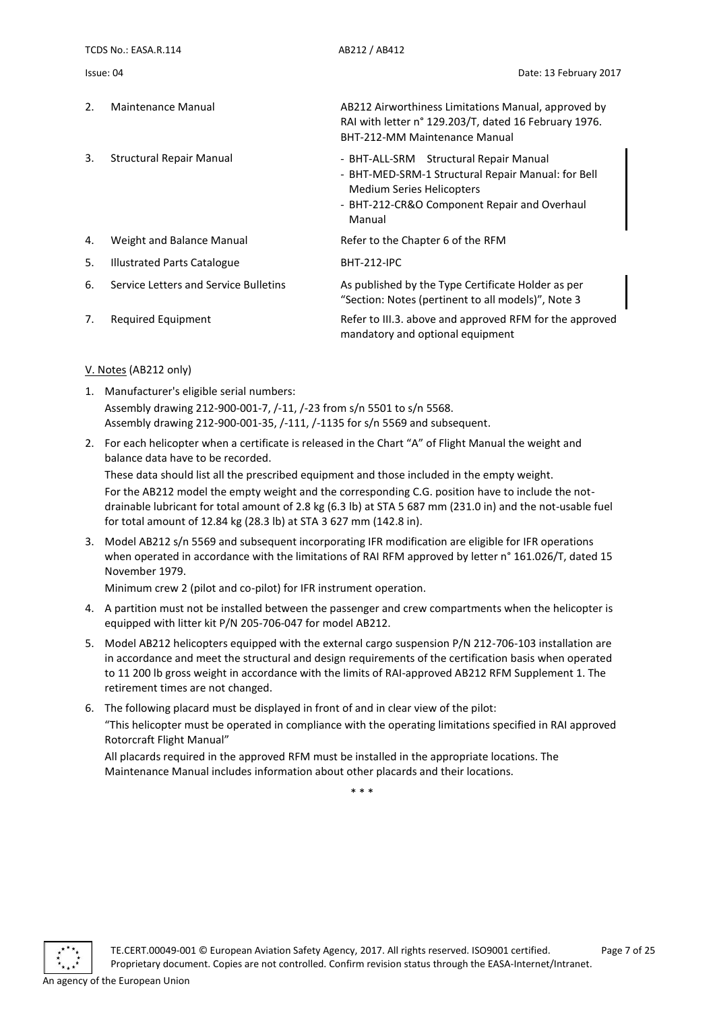TCDS No.: EASA.R.114 AB212 / AB412 Issue: 04 Date: 13 February 2017 2. Maintenance Manual **AB212 Airworthiness Limitations Manual, approved by** RAI with letter n° 129.203/T, dated 16 February 1976. BHT-212-MM Maintenance Manual 3. Structural Repair Manual **- BHT-ALL-SRM** Structural Repair Manual - BHT-MED-SRM-1 Structural Repair Manual: for Bell Medium Series Helicopters - BHT-212-CR&O Component Repair and Overhaul Manual 4. Weight and Balance Manual Refer to the Chapter 6 of the RFM 5. Illustrated Parts Catalogue BHT-212-IPC 6. Service Letters and Service Bulletins As published by the Type Certificate Holder as per "Section: Notes (pertinent to all models)", Note 3 7. Required Equipment Refer to III.3. above and approved RFM for the approved mandatory and optional equipment

#### <span id="page-6-0"></span>V. Notes (AB212 only)

- 1. Manufacturer's eligible serial numbers: Assembly drawing 212-900-001-7, /-11, /-23 from s/n 5501 to s/n 5568. Assembly drawing 212-900-001-35, /-111, /-1135 for s/n 5569 and subsequent.
- 2. For each helicopter when a certificate is released in the Chart "A" of Flight Manual the weight and balance data have to be recorded.

These data should list all the prescribed equipment and those included in the empty weight. For the AB212 model the empty weight and the corresponding C.G. position have to include the notdrainable lubricant for total amount of 2.8 kg (6.3 lb) at STA 5 687 mm (231.0 in) and the not-usable fuel for total amount of 12.84 kg (28.3 lb) at STA 3 627 mm (142.8 in).

3. Model AB212 s/n 5569 and subsequent incorporating IFR modification are eligible for IFR operations when operated in accordance with the limitations of RAI RFM approved by letter n° 161.026/T, dated 15 November 1979.

Minimum crew 2 (pilot and co-pilot) for IFR instrument operation.

- 4. A partition must not be installed between the passenger and crew compartments when the helicopter is equipped with litter kit P/N 205-706-047 for model AB212.
- 5. Model AB212 helicopters equipped with the external cargo suspension P/N 212-706-103 installation are in accordance and meet the structural and design requirements of the certification basis when operated to 11 200 lb gross weight in accordance with the limits of RAI-approved AB212 RFM Supplement 1. The retirement times are not changed.
- 6. The following placard must be displayed in front of and in clear view of the pilot:

"This helicopter must be operated in compliance with the operating limitations specified in RAI approved Rotorcraft Flight Manual"

All placards required in the approved RFM must be installed in the appropriate locations. The Maintenance Manual includes information about other placards and their locations.

\* \* \*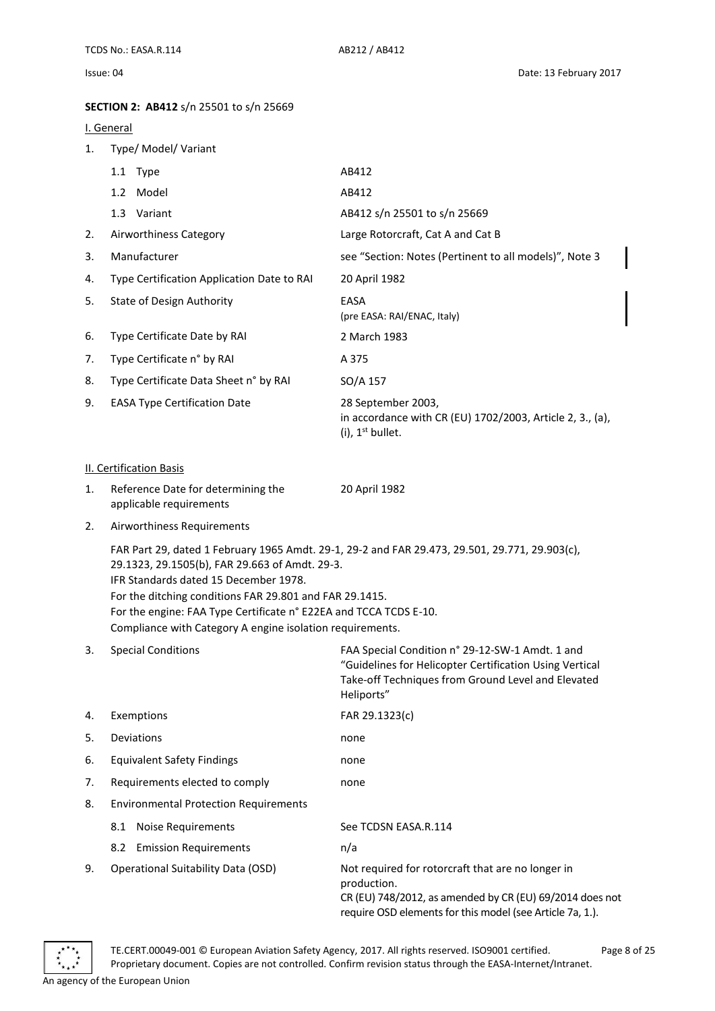### <span id="page-7-0"></span>**SECTION 2: AB412** s/n 25501 to s/n 25669

#### <span id="page-7-1"></span>I. General

<span id="page-7-2"></span>

| 1. | Type/ Model/ Variant                                                                                                                                                                                                                                                                 |                                                                                                                                                                                |
|----|--------------------------------------------------------------------------------------------------------------------------------------------------------------------------------------------------------------------------------------------------------------------------------------|--------------------------------------------------------------------------------------------------------------------------------------------------------------------------------|
|    | 1.1 Type                                                                                                                                                                                                                                                                             | AB412                                                                                                                                                                          |
|    | 1.2 Model                                                                                                                                                                                                                                                                            | AB412                                                                                                                                                                          |
|    | 1.3 Variant                                                                                                                                                                                                                                                                          | AB412 s/n 25501 to s/n 25669                                                                                                                                                   |
| 2. | Airworthiness Category                                                                                                                                                                                                                                                               | Large Rotorcraft, Cat A and Cat B                                                                                                                                              |
| 3. | Manufacturer                                                                                                                                                                                                                                                                         | see "Section: Notes (Pertinent to all models)", Note 3                                                                                                                         |
| 4. | Type Certification Application Date to RAI                                                                                                                                                                                                                                           | 20 April 1982                                                                                                                                                                  |
| 5. | <b>State of Design Authority</b>                                                                                                                                                                                                                                                     | EASA<br>(pre EASA: RAI/ENAC, Italy)                                                                                                                                            |
| 6. | Type Certificate Date by RAI                                                                                                                                                                                                                                                         | 2 March 1983                                                                                                                                                                   |
| 7. | Type Certificate n° by RAI                                                                                                                                                                                                                                                           | A 375                                                                                                                                                                          |
| 8. | Type Certificate Data Sheet n° by RAI                                                                                                                                                                                                                                                | SO/A 157                                                                                                                                                                       |
| 9. | <b>EASA Type Certification Date</b>                                                                                                                                                                                                                                                  | 28 September 2003,<br>in accordance with CR (EU) 1702/2003, Article 2, 3., (a),<br>(i), $1^{st}$ bullet.                                                                       |
|    | <b>II. Certification Basis</b>                                                                                                                                                                                                                                                       |                                                                                                                                                                                |
| 1. | Reference Date for determining the<br>applicable requirements                                                                                                                                                                                                                        | 20 April 1982                                                                                                                                                                  |
| 2. | Airworthiness Requirements                                                                                                                                                                                                                                                           |                                                                                                                                                                                |
|    | 29.1323, 29.1505(b), FAR 29.663 of Amdt. 29-3.<br>IFR Standards dated 15 December 1978.<br>For the ditching conditions FAR 29.801 and FAR 29.1415.<br>For the engine: FAA Type Certificate n° E22EA and TCCA TCDS E-10.<br>Compliance with Category A engine isolation requirements. | FAR Part 29, dated 1 February 1965 Amdt. 29-1, 29-2 and FAR 29.473, 29.501, 29.771, 29.903(c),                                                                                 |
| 3. | <b>Special Conditions</b>                                                                                                                                                                                                                                                            | FAA Special Condition n° 29-12-SW-1 Amdt. 1 and<br>"Guidelines for Helicopter Certification Using Vertical<br>Take-off Techniques from Ground Level and Elevated<br>Heliports" |
| 4. | Exemptions                                                                                                                                                                                                                                                                           | FAR 29.1323(c)                                                                                                                                                                 |
| 5. | Deviations                                                                                                                                                                                                                                                                           | none                                                                                                                                                                           |
| 6. | <b>Equivalent Safety Findings</b>                                                                                                                                                                                                                                                    | none                                                                                                                                                                           |
| 7. | Requirements elected to comply                                                                                                                                                                                                                                                       | none                                                                                                                                                                           |
| 8. | <b>Environmental Protection Requirements</b>                                                                                                                                                                                                                                         |                                                                                                                                                                                |
|    | <b>Noise Requirements</b><br>8.1                                                                                                                                                                                                                                                     | See TCDSN EASA.R.114                                                                                                                                                           |
|    | <b>Emission Requirements</b><br>8.2                                                                                                                                                                                                                                                  | n/a                                                                                                                                                                            |
| 9. | <b>Operational Suitability Data (OSD)</b>                                                                                                                                                                                                                                            | Not required for rotorcraft that are no longer in<br>production.<br>CR (EU) 748/2012, as amended by CR (EU) 69/2014 does not                                                   |



require OSD elements for this model (see Article 7a, 1.).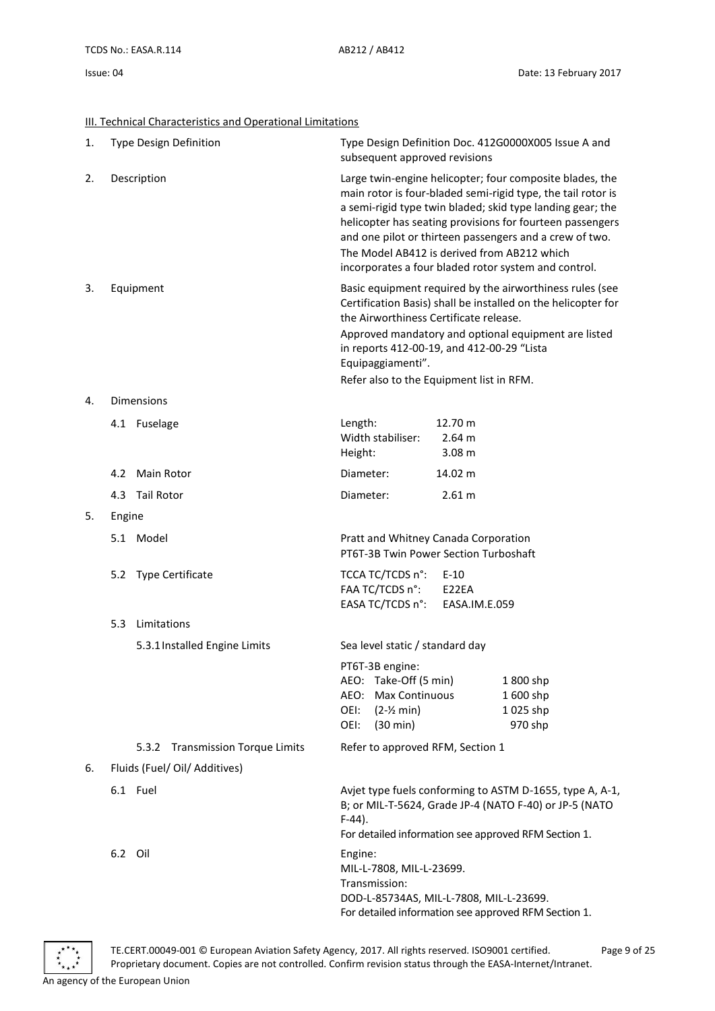<span id="page-8-0"></span>

|  | III. Technical Characteristics and Operational Limitations |  |  |
|--|------------------------------------------------------------|--|--|
|  |                                                            |  |  |

| 1. |             | Type Design Definition           | subsequent approved revisions                                                                               |                                        | Type Design Definition Doc. 412G0000X005 Issue A and                                                                                                                                                                                                                                                                                                                   |
|----|-------------|----------------------------------|-------------------------------------------------------------------------------------------------------------|----------------------------------------|------------------------------------------------------------------------------------------------------------------------------------------------------------------------------------------------------------------------------------------------------------------------------------------------------------------------------------------------------------------------|
| 2. | Description |                                  | The Model AB412 is derived from AB212 which                                                                 |                                        | Large twin-engine helicopter; four composite blades, the<br>main rotor is four-bladed semi-rigid type, the tail rotor is<br>a semi-rigid type twin bladed; skid type landing gear; the<br>helicopter has seating provisions for fourteen passengers<br>and one pilot or thirteen passengers and a crew of two.<br>incorporates a four bladed rotor system and control. |
| 3. | Equipment   |                                  | the Airworthiness Certificate release.                                                                      |                                        | Basic equipment required by the airworthiness rules (see<br>Certification Basis) shall be installed on the helicopter for                                                                                                                                                                                                                                              |
|    |             |                                  | in reports 412-00-19, and 412-00-29 "Lista<br>Equipaggiamenti".<br>Refer also to the Equipment list in RFM. |                                        | Approved mandatory and optional equipment are listed                                                                                                                                                                                                                                                                                                                   |
| 4. |             | <b>Dimensions</b>                |                                                                                                             |                                        |                                                                                                                                                                                                                                                                                                                                                                        |
|    |             | 4.1 Fuselage                     | Length:<br>Width stabiliser:<br>Height:                                                                     | 12.70 m<br>2.64 m<br>3.08 <sub>m</sub> |                                                                                                                                                                                                                                                                                                                                                                        |
|    |             | 4.2 Main Rotor                   | Diameter:                                                                                                   | 14.02 m                                |                                                                                                                                                                                                                                                                                                                                                                        |
|    | 4.3         | <b>Tail Rotor</b>                | Diameter:                                                                                                   | 2.61 m                                 |                                                                                                                                                                                                                                                                                                                                                                        |
| 5. | Engine      |                                  |                                                                                                             |                                        |                                                                                                                                                                                                                                                                                                                                                                        |
|    |             | 5.1 Model                        | Pratt and Whitney Canada Corporation<br>PT6T-3B Twin Power Section Turboshaft                               |                                        |                                                                                                                                                                                                                                                                                                                                                                        |
|    |             | 5.2 Type Certificate             | TCCA TC/TCDS n°:<br>FAA TC/TCDS n°:<br>EASA TC/TCDS n°:                                                     | $E-10$<br>E22EA<br>EASA.IM.E.059       |                                                                                                                                                                                                                                                                                                                                                                        |
|    | 5.3         | Limitations                      |                                                                                                             |                                        |                                                                                                                                                                                                                                                                                                                                                                        |
|    |             | 5.3.1 Installed Engine Limits    | Sea level static / standard day                                                                             |                                        |                                                                                                                                                                                                                                                                                                                                                                        |
|    |             |                                  | PT6T-3B engine:<br>AEO: Take-Off (5 min)<br>AEO: Max Continuous<br>OEI:<br>$(2-2 min)$<br>OEI:<br>(30 min)  |                                        | 1800 shp<br>1600 shp<br>1025 shp<br>970 shp                                                                                                                                                                                                                                                                                                                            |
|    |             | 5.3.2 Transmission Torque Limits | Refer to approved RFM, Section 1                                                                            |                                        |                                                                                                                                                                                                                                                                                                                                                                        |
| 6. |             | Fluids (Fuel/ Oil/ Additives)    |                                                                                                             |                                        |                                                                                                                                                                                                                                                                                                                                                                        |
|    |             | 6.1 Fuel                         | $F-44$ ).                                                                                                   |                                        | Avjet type fuels conforming to ASTM D-1655, type A, A-1,<br>B; or MIL-T-5624, Grade JP-4 (NATO F-40) or JP-5 (NATO<br>For detailed information see approved RFM Section 1.                                                                                                                                                                                             |
|    | 6.2 Oil     |                                  | Engine:<br>MIL-L-7808, MIL-L-23699.<br>Transmission:<br>DOD-L-85734AS, MIL-L-7808, MIL-L-23699.             |                                        |                                                                                                                                                                                                                                                                                                                                                                        |



For detailed information see approved RFM Section 1.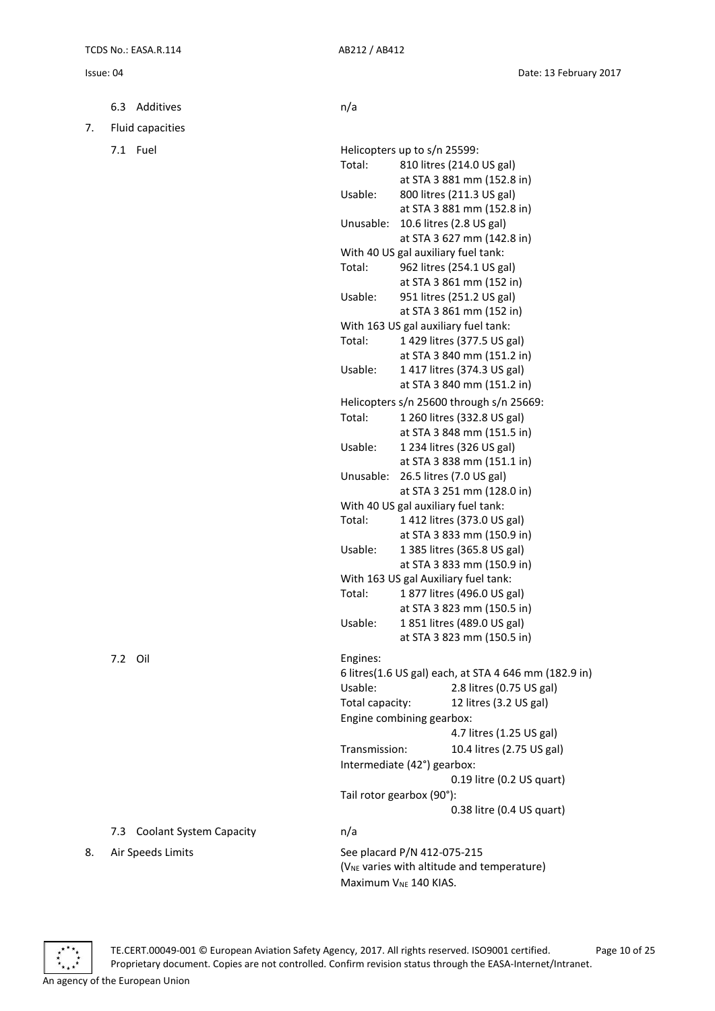6.3 Additives n/a

7. Fluid capacities

 $7.1$  Fuel

|                 | Helicopters up to s/n 25599:                           |
|-----------------|--------------------------------------------------------|
| Total:          | 810 litres (214.0 US gal)                              |
|                 | at STA 3 881 mm (152.8 in)                             |
| Usable:         | 800 litres (211.3 US gal)                              |
|                 | at STA 3 881 mm (152.8 in)                             |
| Unusable:       | 10.6 litres (2.8 US gal)                               |
|                 | at STA 3 627 mm (142.8 in)                             |
|                 | With 40 US gal auxiliary fuel tank:                    |
| Total:          | 962 litres (254.1 US gal)                              |
|                 | at STA 3 861 mm (152 in)                               |
| Usable:         | 951 litres (251.2 US gal)                              |
|                 | at STA 3 861 mm (152 in)                               |
|                 | With 163 US gal auxiliary fuel tank:                   |
| Total:          | 1 429 litres (377.5 US gal)                            |
|                 | at STA 3 840 mm (151.2 in)                             |
| Usable:         | 1 417 litres (374.3 US gal)                            |
|                 | at STA 3 840 mm (151.2 in)                             |
|                 | Helicopters s/n 25600 through s/n 25669:               |
| Total:          | 1 260 litres (332.8 US gal)                            |
|                 | at STA 3 848 mm (151.5 in)                             |
| Usable:         | 1 234 litres (326 US gal)                              |
|                 | at STA 3 838 mm (151.1 in)                             |
| Unusable:       | 26.5 litres (7.0 US gal)                               |
|                 | at STA 3 251 mm (128.0 in)                             |
|                 | With 40 US gal auxiliary fuel tank:                    |
| Total:          | 1412 litres (373.0 US gal)                             |
|                 | at STA 3 833 mm (150.9 in)                             |
| Usable:         | 1 385 litres (365.8 US gal)                            |
|                 | at STA 3 833 mm (150.9 in)                             |
|                 | With 163 US gal Auxiliary fuel tank:                   |
| Total:          | 1877 litres (496.0 US gal)                             |
|                 | at STA 3 823 mm (150.5 in)                             |
| Usable:         | 1851 litres (489.0 US gal)                             |
|                 | at STA 3 823 mm (150.5 in)                             |
| Engines:        |                                                        |
|                 | 6 litres(1.6 US gal) each, at STA 4 646 mm (182.9 in)  |
| Usable:         | 2.8 litres (0.75 US gal)                               |
| Total capacity: | 12 litres (3.2 US gal)                                 |
|                 | Engine combining gearbox:                              |
|                 | 4.7 litres (1.25 US gal)                               |
| Transmission:   | 10.4 litres (2.75 US gal)                              |
|                 | Intermediate (42°) gearbox:                            |
|                 | 0.19 litre (0.2 US quart)                              |
|                 |                                                        |
|                 | Tail rotor gearbox (90°):                              |
|                 | 0.38 litre (0.4 US quart)                              |
| n/a             |                                                        |
|                 | See placard P/N 412-075-215                            |
|                 | (V <sub>NE</sub> varies with altitude and temperature) |
|                 | Maximum V <sub>NE</sub> 140 KIAS.                      |
|                 |                                                        |



### 7.3 Coolant System Capacity

8. Air Speeds Limits Maximum V<sub>NE</sub> 140 KIAS.



An agency of the European Union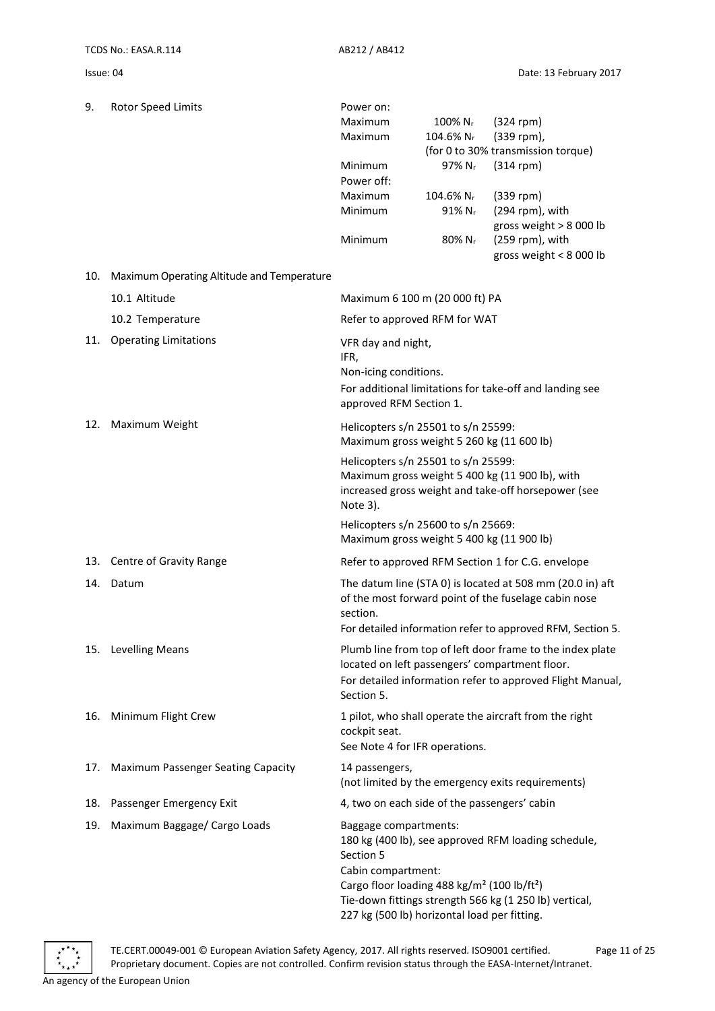| 9.  | Rotor Speed Limits                         | Power on:                                                                        |                       |                                                            |
|-----|--------------------------------------------|----------------------------------------------------------------------------------|-----------------------|------------------------------------------------------------|
|     |                                            | Maximum                                                                          | 100% N <sub>r</sub>   | $(324$ rpm)                                                |
|     |                                            | Maximum                                                                          | 104.6% N <sub>r</sub> | (339 rpm),                                                 |
|     |                                            |                                                                                  |                       | (for 0 to 30% transmission torque)                         |
|     |                                            | Minimum                                                                          | 97% Nr                | $(314$ rpm)                                                |
|     |                                            | Power off:                                                                       |                       |                                                            |
|     |                                            | Maximum                                                                          | 104.6% N <sub>r</sub> | $(339$ rpm)                                                |
|     |                                            | Minimum                                                                          | 91% Nr                | (294 rpm), with<br>gross weight > 8 000 lb                 |
|     |                                            | Minimum                                                                          | 80% Nr                | (259 rpm), with<br>gross weight < $8000$ lb                |
| 10. | Maximum Operating Altitude and Temperature |                                                                                  |                       |                                                            |
|     | 10.1 Altitude                              | Maximum 6 100 m (20 000 ft) PA                                                   |                       |                                                            |
|     | 10.2 Temperature                           | Refer to approved RFM for WAT                                                    |                       |                                                            |
| 11. | <b>Operating Limitations</b>               | VFR day and night,                                                               |                       |                                                            |
|     |                                            | IFR,                                                                             |                       |                                                            |
|     |                                            | Non-icing conditions.                                                            |                       |                                                            |
|     |                                            |                                                                                  |                       | For additional limitations for take-off and landing see    |
|     |                                            | approved RFM Section 1.                                                          |                       |                                                            |
| 12. | Maximum Weight                             | Helicopters s/n 25501 to s/n 25599:                                              |                       |                                                            |
|     |                                            | Maximum gross weight 5 260 kg (11 600 lb)                                        |                       |                                                            |
|     |                                            | Helicopters s/n 25501 to s/n 25599:                                              |                       |                                                            |
|     |                                            |                                                                                  |                       | Maximum gross weight 5 400 kg (11 900 lb), with            |
|     |                                            | Note 3).                                                                         |                       | increased gross weight and take-off horsepower (see        |
|     |                                            |                                                                                  |                       |                                                            |
|     |                                            | Helicopters s/n 25600 to s/n 25669:<br>Maximum gross weight 5 400 kg (11 900 lb) |                       |                                                            |
| 13. | Centre of Gravity Range                    |                                                                                  |                       | Refer to approved RFM Section 1 for C.G. envelope          |
| 14. | Datum                                      |                                                                                  |                       | The datum line (STA 0) is located at 508 mm (20.0 in) aft  |
|     |                                            |                                                                                  |                       | of the most forward point of the fuselage cabin nose       |
|     |                                            | section.                                                                         |                       |                                                            |
|     |                                            |                                                                                  |                       | For detailed information refer to approved RFM, Section 5. |
|     | 15. Levelling Means                        |                                                                                  |                       | Plumb line from top of left door frame to the index plate  |
|     |                                            |                                                                                  |                       | located on left passengers' compartment floor.             |
|     |                                            | Section 5.                                                                       |                       | For detailed information refer to approved Flight Manual,  |
|     |                                            |                                                                                  |                       |                                                            |
| 16. | Minimum Flight Crew                        | cockpit seat.                                                                    |                       | 1 pilot, who shall operate the aircraft from the right     |
|     |                                            | See Note 4 for IFR operations.                                                   |                       |                                                            |
|     |                                            |                                                                                  |                       |                                                            |
| 17. | Maximum Passenger Seating Capacity         | 14 passengers,                                                                   |                       |                                                            |
|     |                                            |                                                                                  |                       | (not limited by the emergency exits requirements)          |
| 18. | Passenger Emergency Exit                   | 4, two on each side of the passengers' cabin                                     |                       |                                                            |
| 19. | Maximum Baggage/ Cargo Loads               | Baggage compartments:                                                            |                       |                                                            |
|     |                                            | Section 5                                                                        |                       | 180 kg (400 lb), see approved RFM loading schedule,        |
|     |                                            | Cabin compartment:                                                               |                       |                                                            |
|     |                                            | Cargo floor loading 488 kg/m <sup>2</sup> (100 lb/ft <sup>2</sup> )              |                       |                                                            |
|     |                                            |                                                                                  |                       | Tie-down fittings strength 566 kg (1 250 lb) vertical,     |
|     |                                            | 227 kg (500 lb) horizontal load per fitting.                                     |                       |                                                            |

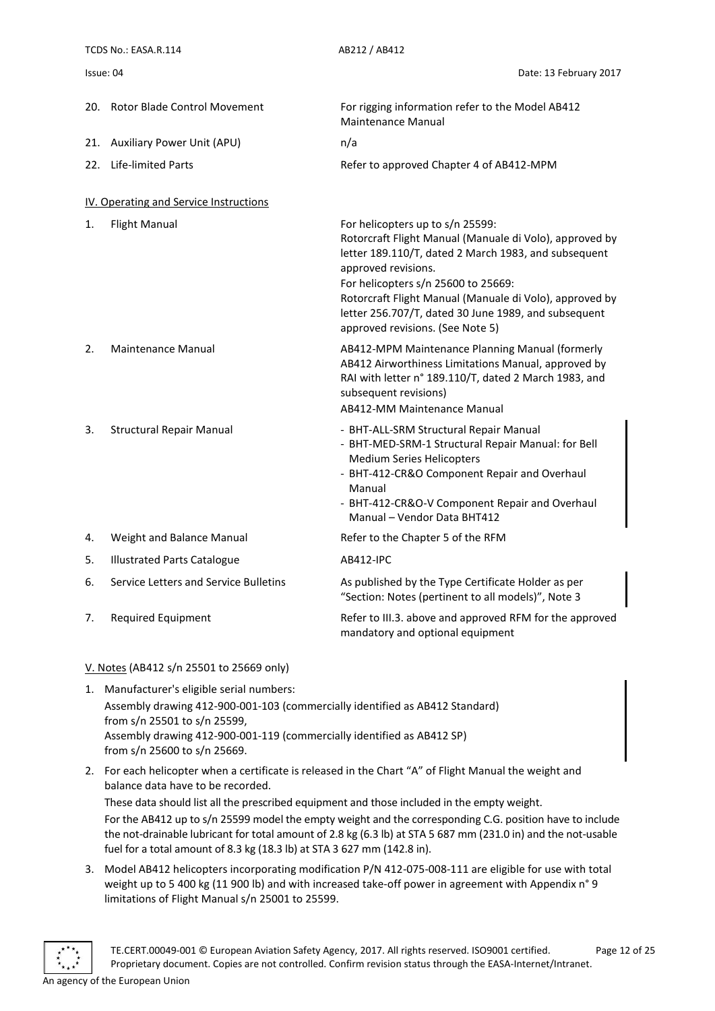<span id="page-11-0"></span>

|     | TCDS No.: EASA.R.114                   | AB212 / AB412                                                                                                                                                                                                                                                                                                                                                            |  |  |
|-----|----------------------------------------|--------------------------------------------------------------------------------------------------------------------------------------------------------------------------------------------------------------------------------------------------------------------------------------------------------------------------------------------------------------------------|--|--|
|     | Issue: 04                              | Date: 13 February 2017                                                                                                                                                                                                                                                                                                                                                   |  |  |
|     | 20. Rotor Blade Control Movement       | For rigging information refer to the Model AB412<br><b>Maintenance Manual</b>                                                                                                                                                                                                                                                                                            |  |  |
| 21. | <b>Auxiliary Power Unit (APU)</b>      | n/a                                                                                                                                                                                                                                                                                                                                                                      |  |  |
| 22. | <b>Life-limited Parts</b>              | Refer to approved Chapter 4 of AB412-MPM                                                                                                                                                                                                                                                                                                                                 |  |  |
|     | IV. Operating and Service Instructions |                                                                                                                                                                                                                                                                                                                                                                          |  |  |
| 1.  | <b>Flight Manual</b>                   | For helicopters up to s/n 25599:<br>Rotorcraft Flight Manual (Manuale di Volo), approved by<br>letter 189.110/T, dated 2 March 1983, and subsequent<br>approved revisions.<br>For helicopters s/n 25600 to 25669:<br>Rotorcraft Flight Manual (Manuale di Volo), approved by<br>letter 256.707/T, dated 30 June 1989, and subsequent<br>approved revisions. (See Note 5) |  |  |
| 2.  | <b>Maintenance Manual</b>              | AB412-MPM Maintenance Planning Manual (formerly<br>AB412 Airworthiness Limitations Manual, approved by<br>RAI with letter n° 189.110/T, dated 2 March 1983, and<br>subsequent revisions)<br>AB412-MM Maintenance Manual                                                                                                                                                  |  |  |
| 3.  | <b>Structural Repair Manual</b>        | - BHT-ALL-SRM Structural Repair Manual<br>- BHT-MED-SRM-1 Structural Repair Manual: for Bell<br><b>Medium Series Helicopters</b><br>- BHT-412-CR&O Component Repair and Overhaul<br>Manual<br>- BHT-412-CR&O-V Component Repair and Overhaul<br>Manual - Vendor Data BHT412                                                                                              |  |  |
| 4.  | Weight and Balance Manual              | Refer to the Chapter 5 of the RFM                                                                                                                                                                                                                                                                                                                                        |  |  |
| 5.  | <b>Illustrated Parts Catalogue</b>     | <b>AB412-IPC</b>                                                                                                                                                                                                                                                                                                                                                         |  |  |
| 6.  | Service Letters and Service Bulletins  | As published by the Type Certificate Holder as per<br>"Section: Notes (pertinent to all models)", Note 3                                                                                                                                                                                                                                                                 |  |  |
| 7.  | <b>Required Equipment</b>              | Refer to III.3. above and approved RFM for the approved<br>mandatory and optional equipment                                                                                                                                                                                                                                                                              |  |  |

#### <span id="page-11-1"></span>V. Notes (AB412 s/n 25501 to 25669 only)

- 1. Manufacturer's eligible serial numbers: Assembly drawing 412-900-001-103 (commercially identified as AB412 Standard) from s/n 25501 to s/n 25599, Assembly drawing 412-900-001-119 (commercially identified as AB412 SP) from s/n 25600 to s/n 25669.
- 2. For each helicopter when a certificate is released in the Chart "A" of Flight Manual the weight and balance data have to be recorded.

These data should list all the prescribed equipment and those included in the empty weight. For the AB412 up to s/n 25599 model the empty weight and the corresponding C.G. position have to include the not-drainable lubricant for total amount of 2.8 kg (6.3 lb) at STA 5 687 mm (231.0 in) and the not-usable fuel for a total amount of 8.3 kg (18.3 lb) at STA 3 627 mm (142.8 in).

3. Model AB412 helicopters incorporating modification P/N 412-075-008-111 are eligible for use with total weight up to 5 400 kg (11 900 lb) and with increased take-off power in agreement with Appendix n° 9 limitations of Flight Manual s/n 25001 to 25599.

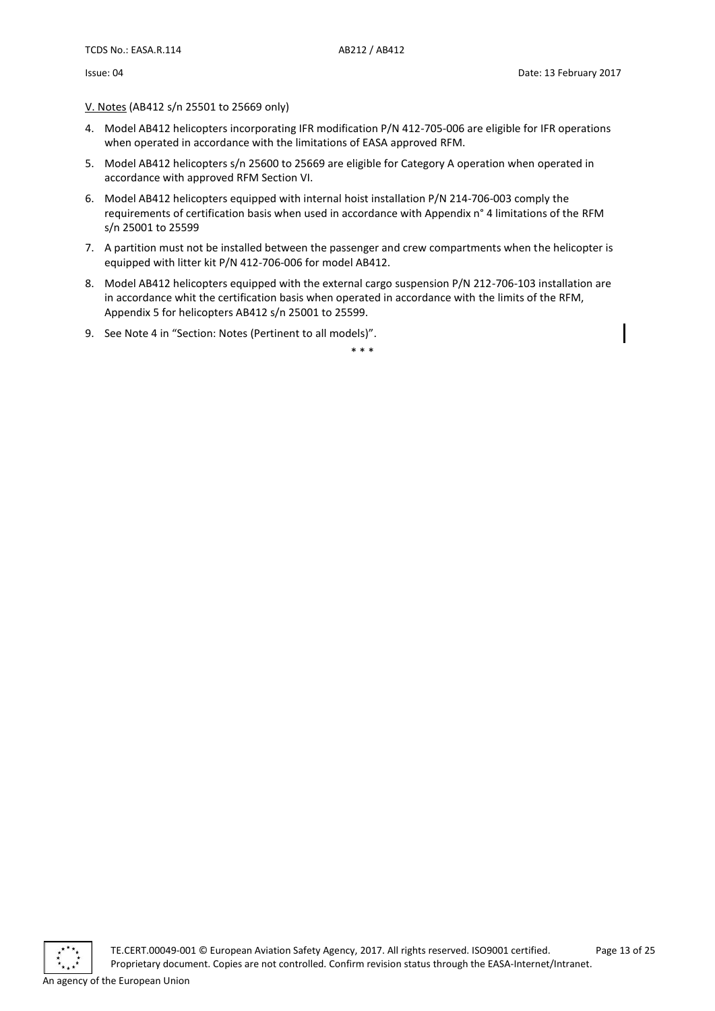V. Notes (AB412 s/n 25501 to 25669 only)

- 4. Model AB412 helicopters incorporating IFR modification P/N 412-705-006 are eligible for IFR operations when operated in accordance with the limitations of EASA approved RFM.
- 5. Model AB412 helicopters s/n 25600 to 25669 are eligible for Category A operation when operated in accordance with approved RFM Section VI.
- 6. Model AB412 helicopters equipped with internal hoist installation P/N 214-706-003 comply the requirements of certification basis when used in accordance with Appendix n° 4 limitations of the RFM s/n 25001 to 25599
- 7. A partition must not be installed between the passenger and crew compartments when the helicopter is equipped with litter kit P/N 412-706-006 for model AB412.
- 8. Model AB412 helicopters equipped with the external cargo suspension P/N 212-706-103 installation are in accordance whit the certification basis when operated in accordance with the limits of the RFM, Appendix 5 for helicopters AB412 s/n 25001 to 25599.
- 9. See Note 4 in "Section: Notes (Pertinent to all models)".

\* \* \*

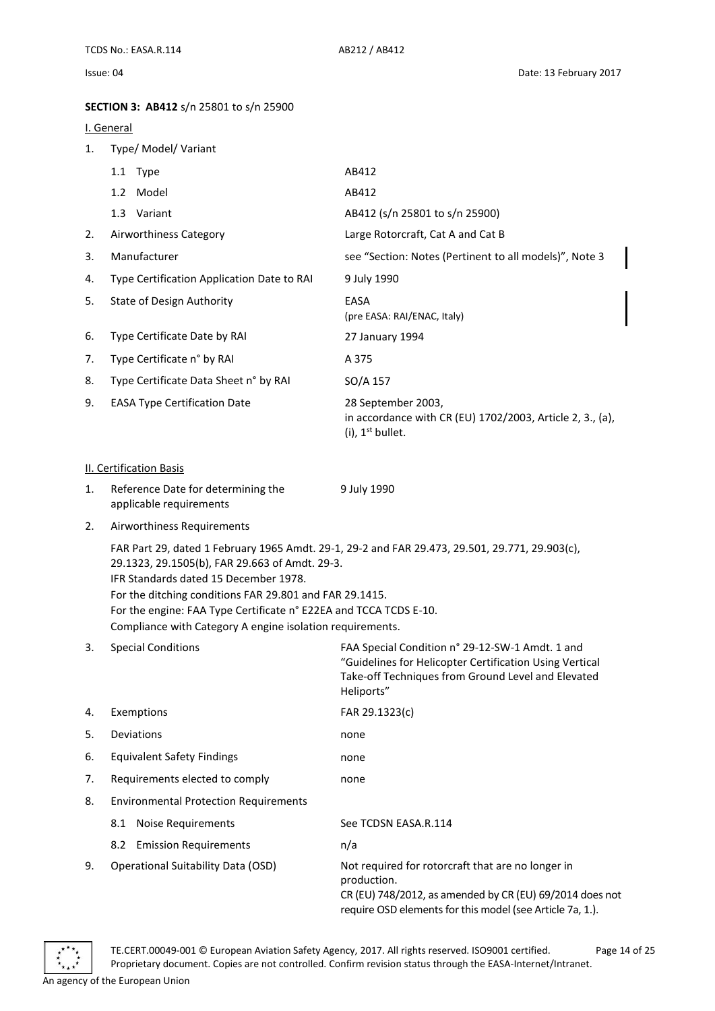### <span id="page-13-0"></span>**SECTION 3: AB412** s/n 25801 to s/n 25900

#### <span id="page-13-1"></span>I. General

<span id="page-13-2"></span>

| 1. | Type/ Model/ Variant                                                                                                                                                                                                                                                                 |                                                                                                                                                                                |
|----|--------------------------------------------------------------------------------------------------------------------------------------------------------------------------------------------------------------------------------------------------------------------------------------|--------------------------------------------------------------------------------------------------------------------------------------------------------------------------------|
|    | 1.1 Type                                                                                                                                                                                                                                                                             | AB412                                                                                                                                                                          |
|    | 1.2 Model                                                                                                                                                                                                                                                                            | AB412                                                                                                                                                                          |
|    | 1.3 Variant                                                                                                                                                                                                                                                                          | AB412 (s/n 25801 to s/n 25900)                                                                                                                                                 |
| 2. | Airworthiness Category                                                                                                                                                                                                                                                               | Large Rotorcraft, Cat A and Cat B                                                                                                                                              |
| 3. | Manufacturer                                                                                                                                                                                                                                                                         | see "Section: Notes (Pertinent to all models)", Note 3                                                                                                                         |
| 4. | Type Certification Application Date to RAI                                                                                                                                                                                                                                           | 9 July 1990                                                                                                                                                                    |
| 5. | <b>State of Design Authority</b>                                                                                                                                                                                                                                                     | EASA<br>(pre EASA: RAI/ENAC, Italy)                                                                                                                                            |
| 6. | Type Certificate Date by RAI                                                                                                                                                                                                                                                         | 27 January 1994                                                                                                                                                                |
| 7. | Type Certificate n° by RAI                                                                                                                                                                                                                                                           | A 375                                                                                                                                                                          |
| 8. | Type Certificate Data Sheet n° by RAI                                                                                                                                                                                                                                                | SO/A 157                                                                                                                                                                       |
| 9. | <b>EASA Type Certification Date</b>                                                                                                                                                                                                                                                  | 28 September 2003,<br>in accordance with CR (EU) 1702/2003, Article 2, 3., (a),<br>$(i)$ , 1 <sup>st</sup> bullet.                                                             |
|    | II. Certification Basis                                                                                                                                                                                                                                                              |                                                                                                                                                                                |
| 1. | Reference Date for determining the<br>applicable requirements                                                                                                                                                                                                                        | 9 July 1990                                                                                                                                                                    |
| 2. | Airworthiness Requirements                                                                                                                                                                                                                                                           |                                                                                                                                                                                |
|    | 29.1323, 29.1505(b), FAR 29.663 of Amdt. 29-3.<br>IFR Standards dated 15 December 1978.<br>For the ditching conditions FAR 29.801 and FAR 29.1415.<br>For the engine: FAA Type Certificate n° E22EA and TCCA TCDS E-10.<br>Compliance with Category A engine isolation requirements. | FAR Part 29, dated 1 February 1965 Amdt. 29-1, 29-2 and FAR 29.473, 29.501, 29.771, 29.903(c),                                                                                 |
| 3. | <b>Special Conditions</b>                                                                                                                                                                                                                                                            | FAA Special Condition n° 29-12-SW-1 Amdt. 1 and<br>"Guidelines for Helicopter Certification Using Vertical<br>Take-off Techniques from Ground Level and Elevated<br>Heliports" |
| 4. | Exemptions                                                                                                                                                                                                                                                                           | FAR 29.1323(c)                                                                                                                                                                 |
| 5. | Deviations                                                                                                                                                                                                                                                                           | none                                                                                                                                                                           |
| 6. | <b>Equivalent Safety Findings</b>                                                                                                                                                                                                                                                    | none                                                                                                                                                                           |
| 7. | Requirements elected to comply                                                                                                                                                                                                                                                       | none                                                                                                                                                                           |
| 8. | <b>Environmental Protection Requirements</b>                                                                                                                                                                                                                                         |                                                                                                                                                                                |
|    | 8.1 Noise Requirements                                                                                                                                                                                                                                                               | See TCDSN EASA.R.114                                                                                                                                                           |
|    | 8.2 Emission Requirements                                                                                                                                                                                                                                                            | n/a                                                                                                                                                                            |
| 9. | <b>Operational Suitability Data (OSD)</b>                                                                                                                                                                                                                                            | Not required for rotorcraft that are no longer in<br>production.<br>CR (EU) 748/2012, as amended by CR (EU) 69/2014 does not                                                   |



require OSD elements for this model (see Article 7a, 1.).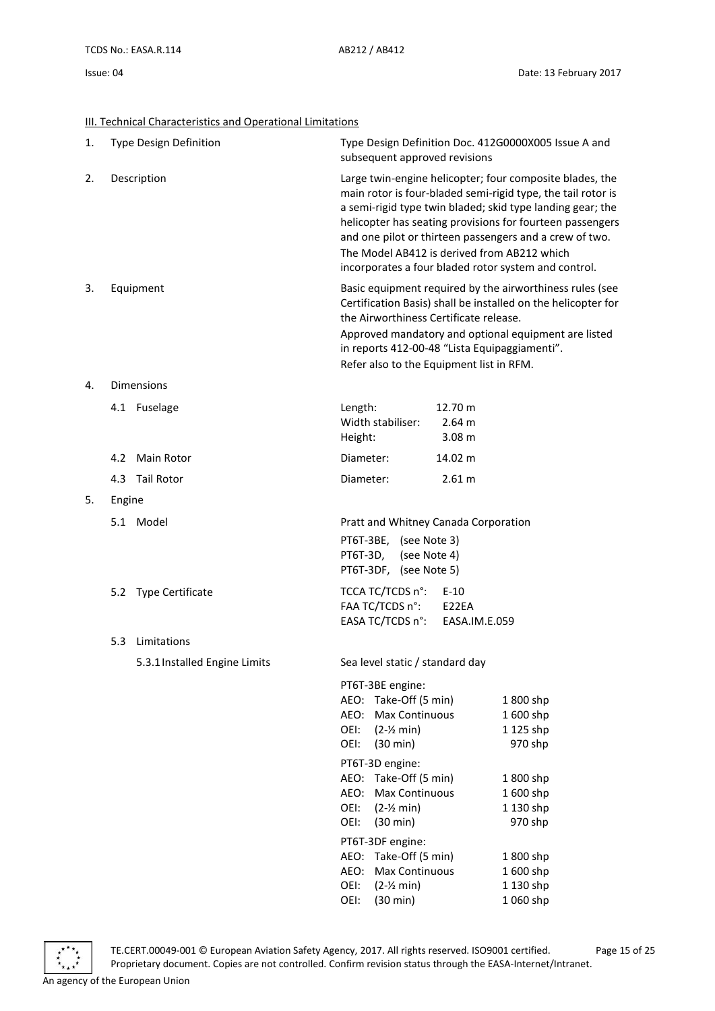### <span id="page-14-0"></span>III. Technical Characteristics and Operational Limitations

| 1. |        | Type Design Definition        | subsequent approved revisions                                                                                                       |                                        | Type Design Definition Doc. 412G0000X005 Issue A and                                                                                                                                                                                                                                                                                                                   |
|----|--------|-------------------------------|-------------------------------------------------------------------------------------------------------------------------------------|----------------------------------------|------------------------------------------------------------------------------------------------------------------------------------------------------------------------------------------------------------------------------------------------------------------------------------------------------------------------------------------------------------------------|
| 2. |        | Description                   | The Model AB412 is derived from AB212 which                                                                                         |                                        | Large twin-engine helicopter; four composite blades, the<br>main rotor is four-bladed semi-rigid type, the tail rotor is<br>a semi-rigid type twin bladed; skid type landing gear; the<br>helicopter has seating provisions for fourteen passengers<br>and one pilot or thirteen passengers and a crew of two.<br>incorporates a four bladed rotor system and control. |
| 3. |        | Equipment                     | the Airworthiness Certificate release.<br>in reports 412-00-48 "Lista Equipaggiamenti".<br>Refer also to the Equipment list in RFM. |                                        | Basic equipment required by the airworthiness rules (see<br>Certification Basis) shall be installed on the helicopter for<br>Approved mandatory and optional equipment are listed                                                                                                                                                                                      |
| 4. |        | <b>Dimensions</b>             |                                                                                                                                     |                                        |                                                                                                                                                                                                                                                                                                                                                                        |
|    |        | 4.1 Fuselage                  | Length:<br>Width stabiliser:<br>Height:                                                                                             | 12.70 m<br>2.64 m<br>3.08 <sub>m</sub> |                                                                                                                                                                                                                                                                                                                                                                        |
|    |        | 4.2 Main Rotor                | Diameter:                                                                                                                           | 14.02 m                                |                                                                                                                                                                                                                                                                                                                                                                        |
|    |        | 4.3 Tail Rotor                | Diameter:                                                                                                                           | 2.61 m                                 |                                                                                                                                                                                                                                                                                                                                                                        |
| 5. | Engine |                               |                                                                                                                                     |                                        |                                                                                                                                                                                                                                                                                                                                                                        |
|    |        | 5.1 Model                     | Pratt and Whitney Canada Corporation<br>PT6T-3BE, (see Note 3)<br>PT6T-3D,<br>(see Note 4)<br>PT6T-3DF, (see Note 5)                |                                        |                                                                                                                                                                                                                                                                                                                                                                        |
|    |        | 5.2 Type Certificate          | TCCA TC/TCDS n°:<br>FAA TC/TCDS n°:<br>EASA TC/TCDS n°:                                                                             | $E-10$<br>E22EA<br>EASA.IM.E.059       |                                                                                                                                                                                                                                                                                                                                                                        |
|    | 5.3    | Limitations                   |                                                                                                                                     |                                        |                                                                                                                                                                                                                                                                                                                                                                        |
|    |        | 5.3.1 Installed Engine Limits | Sea level static / standard day                                                                                                     |                                        |                                                                                                                                                                                                                                                                                                                                                                        |
|    |        |                               | PT6T-3BE engine:<br>Take-Off (5 min)<br>AEO:<br>Max Continuous<br>AEO:<br>OEI:<br>$(2-2 min)$<br>OEI:<br>$(30 \text{ min})$         |                                        | 1800 shp<br>1600 shp<br>1 125 shp<br>970 shp                                                                                                                                                                                                                                                                                                                           |
|    |        |                               | PT6T-3D engine:                                                                                                                     |                                        |                                                                                                                                                                                                                                                                                                                                                                        |
|    |        |                               | Take-Off (5 min)<br>AEO:                                                                                                            |                                        | 1800 shp                                                                                                                                                                                                                                                                                                                                                               |
|    |        |                               | AEO:<br>Max Continuous<br>OEI:<br>$(2-2 min)$                                                                                       |                                        | 1600 shp<br>1 130 shp                                                                                                                                                                                                                                                                                                                                                  |
|    |        |                               | OEI:<br>(30 min)                                                                                                                    |                                        | 970 shp                                                                                                                                                                                                                                                                                                                                                                |
|    |        |                               | PT6T-3DF engine:                                                                                                                    |                                        |                                                                                                                                                                                                                                                                                                                                                                        |
|    |        |                               | Take-Off (5 min)<br>AEO:                                                                                                            |                                        | 1800 shp                                                                                                                                                                                                                                                                                                                                                               |
|    |        |                               | AEO:<br>Max Continuous                                                                                                              |                                        | 1600 shp                                                                                                                                                                                                                                                                                                                                                               |
|    |        |                               | OEI:<br>$(2-Y min)$                                                                                                                 |                                        | 1 130 shp                                                                                                                                                                                                                                                                                                                                                              |



OEI: (30 min) 1 060 shp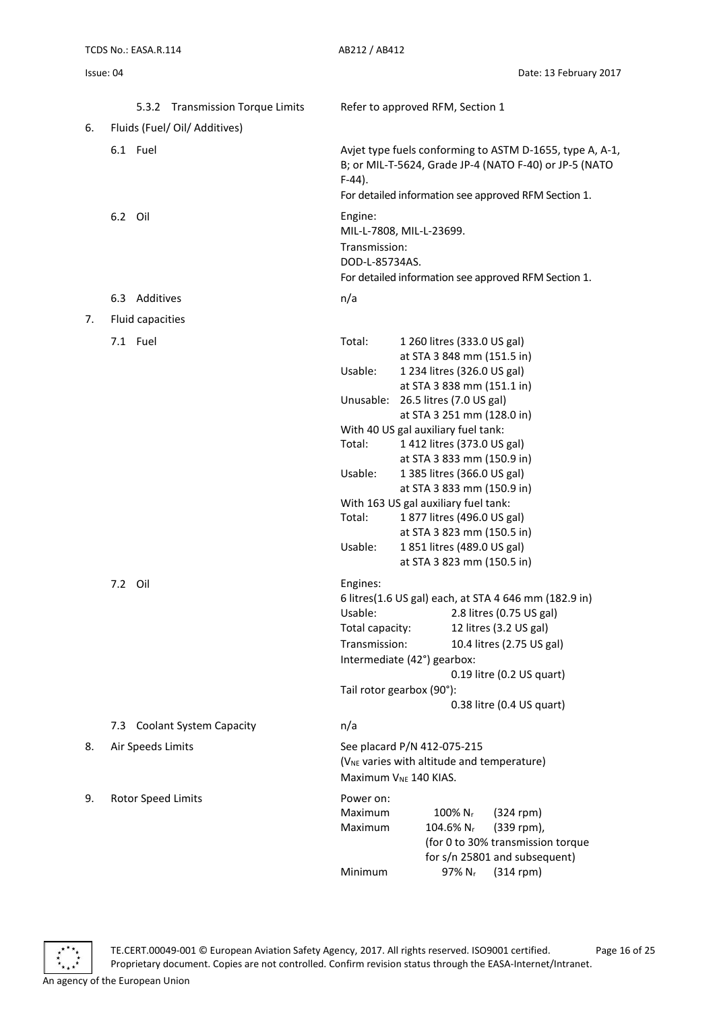| Issue: 04 | Date: 13 February 2017 |
|-----------|------------------------|
|           |                        |

|    | 5.3.2 Transmission Torque Limits | Refer to approved RFM, Section 1                                                                                                                                                                                                      |
|----|----------------------------------|---------------------------------------------------------------------------------------------------------------------------------------------------------------------------------------------------------------------------------------|
| 6. | Fluids (Fuel/ Oil/ Additives)    |                                                                                                                                                                                                                                       |
|    | 6.1 Fuel                         | Avjet type fuels conforming to ASTM D-1655, type A, A-1,<br>B; or MIL-T-5624, Grade JP-4 (NATO F-40) or JP-5 (NATO<br>$F-44$ ).<br>For detailed information see approved RFM Section 1.                                               |
|    | 6.2 Oil                          | Engine:<br>MIL-L-7808, MIL-L-23699.<br>Transmission:<br>DOD-L-85734AS.<br>For detailed information see approved RFM Section 1.                                                                                                        |
|    | 6.3 Additives                    | n/a                                                                                                                                                                                                                                   |
| 7. | Fluid capacities                 |                                                                                                                                                                                                                                       |
|    | 7.1 Fuel                         | Total:<br>1 260 litres (333.0 US gal)<br>at STA 3 848 mm (151.5 in)<br>Usable:<br>1 234 litres (326.0 US gal)                                                                                                                         |
|    |                                  | at STA 3 838 mm (151.1 in)<br>Unusable:<br>26.5 litres (7.0 US gal)<br>at STA 3 251 mm (128.0 in)                                                                                                                                     |
|    |                                  | With 40 US gal auxiliary fuel tank:                                                                                                                                                                                                   |
|    |                                  | 1 412 litres (373.0 US gal)<br>Total:                                                                                                                                                                                                 |
|    |                                  | at STA 3 833 mm (150.9 in)<br>Usable:<br>1 385 litres (366.0 US gal)                                                                                                                                                                  |
|    |                                  | at STA 3 833 mm (150.9 in)                                                                                                                                                                                                            |
|    |                                  | With 163 US gal auxiliary fuel tank:                                                                                                                                                                                                  |
|    |                                  | 1877 litres (496.0 US gal)<br>Total:                                                                                                                                                                                                  |
|    |                                  | at STA 3 823 mm (150.5 in)<br>1851 litres (489.0 US gal)<br>Usable:                                                                                                                                                                   |
|    |                                  | at STA 3 823 mm (150.5 in)                                                                                                                                                                                                            |
|    | 7.2 Oil                          | Engines:                                                                                                                                                                                                                              |
|    |                                  | 6 litres(1.6 US gal) each, at STA 4 646 mm (182.9 in)                                                                                                                                                                                 |
|    |                                  | Usable:<br>2.8 litres (0.75 US gal)                                                                                                                                                                                                   |
|    |                                  | Total capacity:<br>12 litres (3.2 US gal)                                                                                                                                                                                             |
|    |                                  | Transmission:<br>10.4 litres (2.75 US gal)                                                                                                                                                                                            |
|    |                                  | Intermediate (42°) gearbox:<br>0.19 litre (0.2 US quart)                                                                                                                                                                              |
|    |                                  | Tail rotor gearbox (90°):                                                                                                                                                                                                             |
|    |                                  | 0.38 litre (0.4 US quart)                                                                                                                                                                                                             |
|    | 7.3 Coolant System Capacity      | n/a                                                                                                                                                                                                                                   |
| 8. | Air Speeds Limits                | See placard P/N 412-075-215<br>(V <sub>NE</sub> varies with altitude and temperature)<br>Maximum V <sub>NE</sub> 140 KIAS.                                                                                                            |
| 9. | Rotor Speed Limits               | Power on:<br>100% N <sub>r</sub><br>Maximum<br>$(324$ rpm)<br>Maximum<br>$104.6\%$ N <sub>r</sub><br>(339 rpm),<br>(for 0 to 30% transmission torque<br>for s/n 25801 and subsequent)<br>Minimum<br>97% N <sub>r</sub><br>$(314$ rpm) |
|    |                                  |                                                                                                                                                                                                                                       |



TE.CERT.00049-001 © European Aviation Safety Agency, 2017. All rights reserved. ISO9001 certified. Page 16 of 25 Proprietary document. Copies are not controlled. Confirm revision status through the EASA-Internet/Intranet.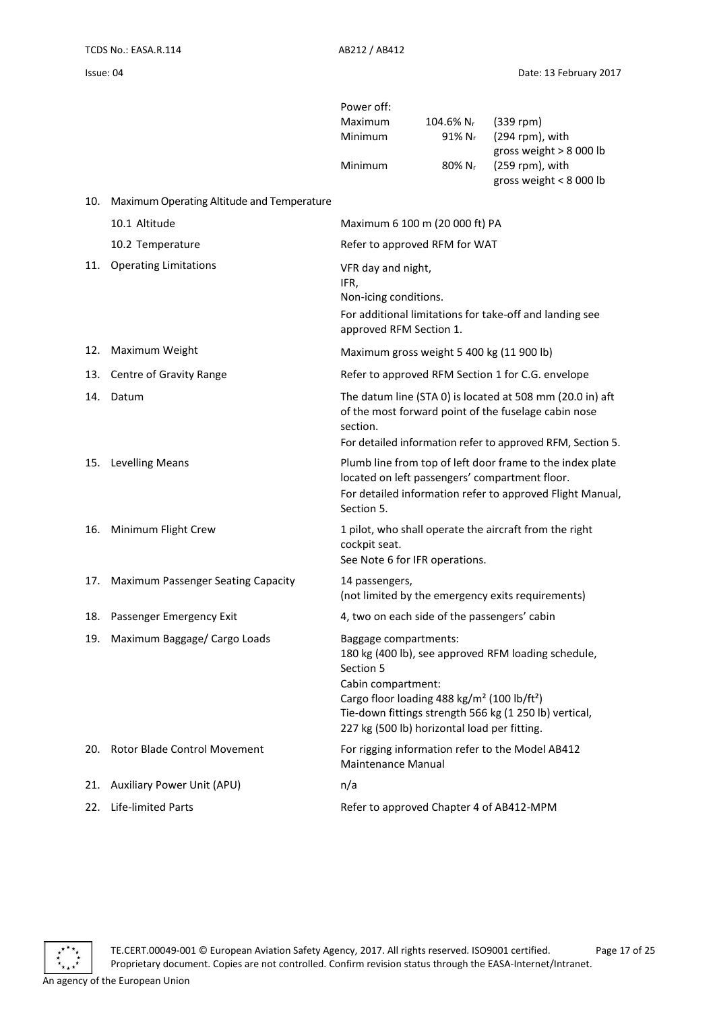| Power off: |                                    |                          |
|------------|------------------------------------|--------------------------|
| Maximum    | $104.6\%$ N <sub>r</sub> (339 rpm) |                          |
| Minimum    | $91\%$ Nr                          | $(294$ rpm), with        |
|            |                                    | gross weight $> 8000$ lb |
| Minimum    | $80\%$ N <sub>r</sub>              | $(259$ rpm), with        |
|            |                                    | gross weight $< 8000$ lb |

|  | 10. | Maximum Operating Altitude and Temperature |
|--|-----|--------------------------------------------|
|--|-----|--------------------------------------------|

|     | 10.1 Altitude                      | Maximum 6 100 m (20 000 ft) PA                                                                                                                                                                                                                                                                   |
|-----|------------------------------------|--------------------------------------------------------------------------------------------------------------------------------------------------------------------------------------------------------------------------------------------------------------------------------------------------|
|     | 10.2 Temperature                   | Refer to approved RFM for WAT                                                                                                                                                                                                                                                                    |
| 11. | <b>Operating Limitations</b>       | VFR day and night,<br>IFR,<br>Non-icing conditions.<br>For additional limitations for take-off and landing see<br>approved RFM Section 1.                                                                                                                                                        |
| 12. | Maximum Weight                     | Maximum gross weight 5 400 kg (11 900 lb)                                                                                                                                                                                                                                                        |
|     | 13. Centre of Gravity Range        | Refer to approved RFM Section 1 for C.G. envelope                                                                                                                                                                                                                                                |
| 14. | Datum                              | The datum line (STA 0) is located at 508 mm (20.0 in) aft<br>of the most forward point of the fuselage cabin nose<br>section.<br>For detailed information refer to approved RFM, Section 5.                                                                                                      |
|     | 15. Levelling Means                | Plumb line from top of left door frame to the index plate<br>located on left passengers' compartment floor.<br>For detailed information refer to approved Flight Manual,<br>Section 5.                                                                                                           |
|     | 16. Minimum Flight Crew            | 1 pilot, who shall operate the aircraft from the right<br>cockpit seat.<br>See Note 6 for IFR operations.                                                                                                                                                                                        |
| 17. | Maximum Passenger Seating Capacity | 14 passengers,<br>(not limited by the emergency exits requirements)                                                                                                                                                                                                                              |
| 18. | Passenger Emergency Exit           | 4, two on each side of the passengers' cabin                                                                                                                                                                                                                                                     |
| 19. | Maximum Baggage/ Cargo Loads       | Baggage compartments:<br>180 kg (400 lb), see approved RFM loading schedule,<br>Section 5<br>Cabin compartment:<br>Cargo floor loading 488 kg/m <sup>2</sup> (100 lb/ft <sup>2</sup> )<br>Tie-down fittings strength 566 kg (1 250 lb) vertical,<br>227 kg (500 lb) horizontal load per fitting. |
|     | 20. Rotor Blade Control Movement   | For rigging information refer to the Model AB412<br><b>Maintenance Manual</b>                                                                                                                                                                                                                    |
| 21. | Auxiliary Power Unit (APU)         | n/a                                                                                                                                                                                                                                                                                              |
| 22. | Life-limited Parts                 | Refer to approved Chapter 4 of AB412-MPM                                                                                                                                                                                                                                                         |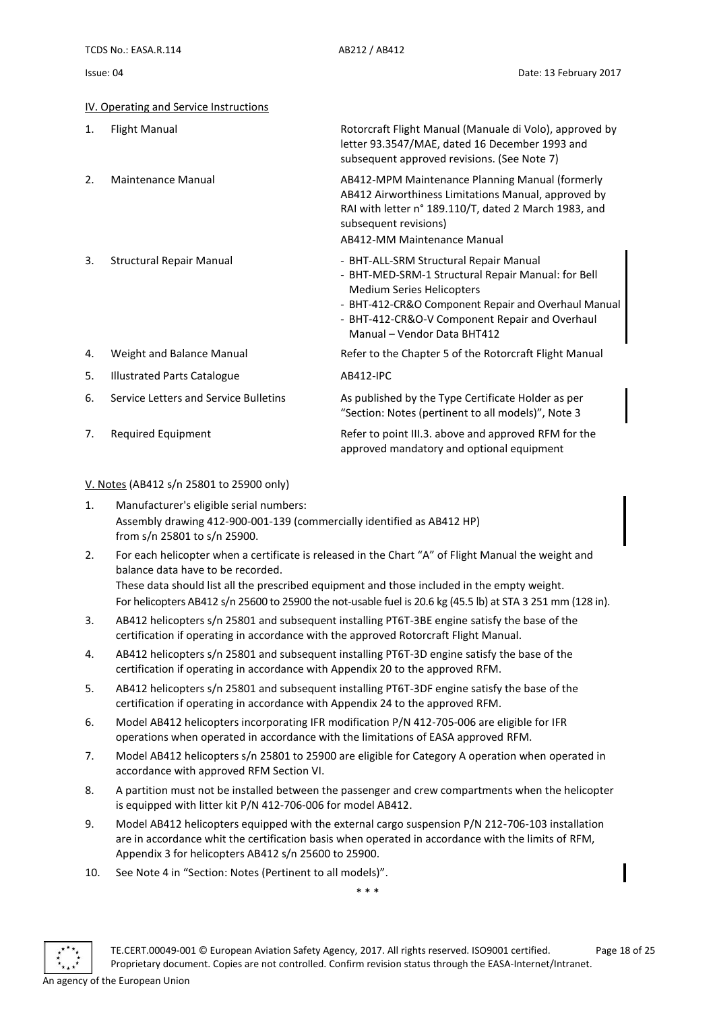<span id="page-17-0"></span>

| IV. Operating and Service Instructions |  |
|----------------------------------------|--|
|----------------------------------------|--|

| 1. | <b>Flight Manual</b>                  | Rotorcraft Flight Manual (Manuale di Volo), approved by<br>letter 93.3547/MAE, dated 16 December 1993 and<br>subsequent approved revisions. (See Note 7)                                                                                                                 |
|----|---------------------------------------|--------------------------------------------------------------------------------------------------------------------------------------------------------------------------------------------------------------------------------------------------------------------------|
| 2. | Maintenance Manual                    | AB412-MPM Maintenance Planning Manual (formerly<br>AB412 Airworthiness Limitations Manual, approved by<br>RAI with letter n° 189.110/T, dated 2 March 1983, and<br>subsequent revisions)<br>AB412-MM Maintenance Manual                                                  |
| 3. | <b>Structural Repair Manual</b>       | - BHT-ALL-SRM Structural Repair Manual<br>- BHT-MED-SRM-1 Structural Repair Manual: for Bell<br><b>Medium Series Helicopters</b><br>- BHT-412-CR&O Component Repair and Overhaul Manual<br>- BHT-412-CR&O-V Component Repair and Overhaul<br>Manual - Vendor Data BHT412 |
| 4. | Weight and Balance Manual             | Refer to the Chapter 5 of the Rotorcraft Flight Manual                                                                                                                                                                                                                   |
| 5. | <b>Illustrated Parts Catalogue</b>    | AB412-IPC                                                                                                                                                                                                                                                                |
| 6. | Service Letters and Service Bulletins | As published by the Type Certificate Holder as per<br>"Section: Notes (pertinent to all models)", Note 3                                                                                                                                                                 |
| 7. | Required Equipment                    | Refer to point III.3. above and approved RFM for the<br>approved mandatory and optional equipment                                                                                                                                                                        |

#### <span id="page-17-1"></span>V. Notes (AB412 s/n 25801 to 25900 only)

- 1. Manufacturer's eligible serial numbers: Assembly drawing 412-900-001-139 (commercially identified as AB412 HP) from s/n 25801 to s/n 25900.
- 2. For each helicopter when a certificate is released in the Chart "A" of Flight Manual the weight and balance data have to be recorded. These data should list all the prescribed equipment and those included in the empty weight. For helicopters AB412 s/n 25600 to 25900 the not-usable fuel is 20.6 kg (45.5 lb) at STA 3 251 mm (128 in).
- 3. AB412 helicopters s/n 25801 and subsequent installing PT6T-3BE engine satisfy the base of the certification if operating in accordance with the approved Rotorcraft Flight Manual.
- 4. AB412 helicopters s/n 25801 and subsequent installing PT6T-3D engine satisfy the base of the certification if operating in accordance with Appendix 20 to the approved RFM.
- 5. AB412 helicopters s/n 25801 and subsequent installing PT6T-3DF engine satisfy the base of the certification if operating in accordance with Appendix 24 to the approved RFM.
- 6. Model AB412 helicopters incorporating IFR modification P/N 412-705-006 are eligible for IFR operations when operated in accordance with the limitations of EASA approved RFM.
- 7. Model AB412 helicopters s/n 25801 to 25900 are eligible for Category A operation when operated in accordance with approved RFM Section VI.
- 8. A partition must not be installed between the passenger and crew compartments when the helicopter is equipped with litter kit P/N 412-706-006 for model AB412.
- 9. Model AB412 helicopters equipped with the external cargo suspension P/N 212-706-103 installation are in accordance whit the certification basis when operated in accordance with the limits of RFM, Appendix 3 for helicopters AB412 s/n 25600 to 25900.
- 10. See Note 4 in "Section: Notes (Pertinent to all models)".

\* \* \*

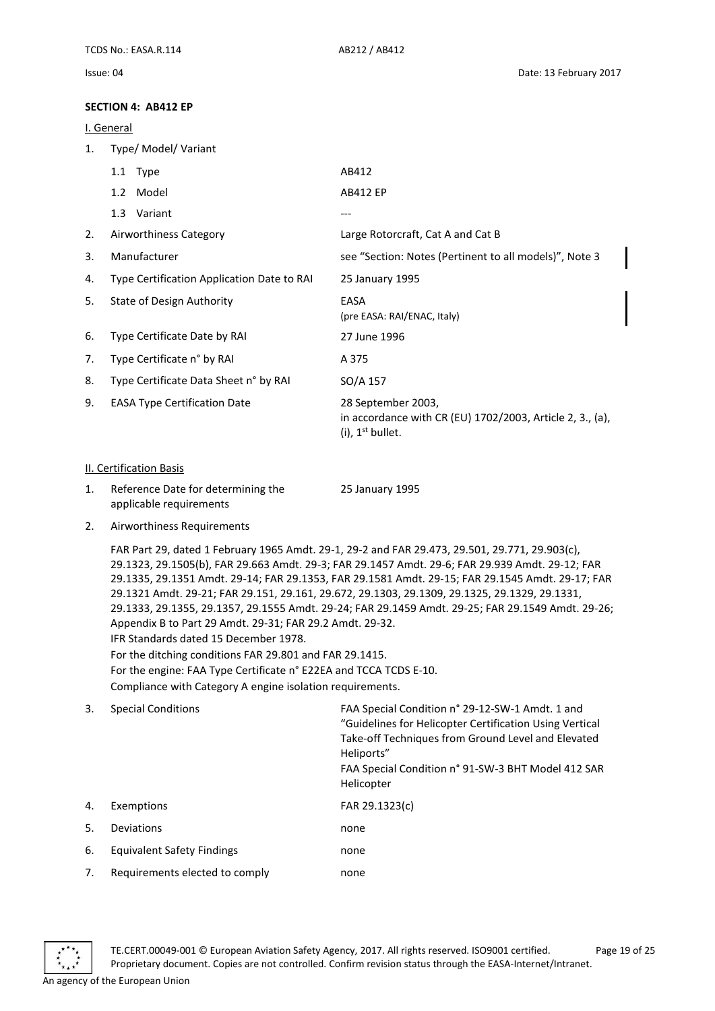#### <span id="page-18-0"></span>**SECTION 4: AB412 EP**

#### <span id="page-18-1"></span>I. General

| 1.                      | Type/ Model/ Variant                                          |                                                                                                                    |  |  |
|-------------------------|---------------------------------------------------------------|--------------------------------------------------------------------------------------------------------------------|--|--|
|                         | 1.1 Type                                                      | AB412                                                                                                              |  |  |
|                         | 1.2 Model                                                     | <b>AB412 EP</b>                                                                                                    |  |  |
|                         | 1.3 Variant                                                   | $---$                                                                                                              |  |  |
| 2.                      | Airworthiness Category                                        | Large Rotorcraft, Cat A and Cat B                                                                                  |  |  |
| 3.                      | Manufacturer                                                  | see "Section: Notes (Pertinent to all models)", Note 3                                                             |  |  |
| 4.                      | Type Certification Application Date to RAI                    | 25 January 1995                                                                                                    |  |  |
| 5.                      | <b>State of Design Authority</b>                              | EASA<br>(pre EASA: RAI/ENAC, Italy)                                                                                |  |  |
| 6.                      | Type Certificate Date by RAI                                  | 27 June 1996                                                                                                       |  |  |
| 7.                      | Type Certificate n° by RAI                                    | A 375                                                                                                              |  |  |
| 8.                      | Type Certificate Data Sheet n° by RAI                         | SO/A 157                                                                                                           |  |  |
| 9.                      | <b>EASA Type Certification Date</b>                           | 28 September 2003,<br>in accordance with CR (EU) 1702/2003, Article 2, 3., (a),<br>$(i)$ , 1 <sup>st</sup> bullet. |  |  |
| II. Certification Basis |                                                               |                                                                                                                    |  |  |
| 1.                      | Reference Date for determining the<br>applicable requirements | 25 January 1995                                                                                                    |  |  |

<span id="page-18-2"></span>2. Airworthiness Requirements

FAR Part 29, dated 1 February 1965 Amdt. 29-1, 29-2 and FAR 29.473, 29.501, 29.771, 29.903(c), 29.1323, 29.1505(b), FAR 29.663 Amdt. 29-3; FAR 29.1457 Amdt. 29-6; FAR 29.939 Amdt. 29-12; FAR 29.1335, 29.1351 Amdt. 29-14; FAR 29.1353, FAR 29.1581 Amdt. 29-15; FAR 29.1545 Amdt. 29-17; FAR 29.1321 Amdt. 29-21; FAR 29.151, 29.161, 29.672, 29.1303, 29.1309, 29.1325, 29.1329, 29.1331, 29.1333, 29.1355, 29.1357, 29.1555 Amdt. 29-24; FAR 29.1459 Amdt. 29-25; FAR 29.1549 Amdt. 29-26; Appendix B to Part 29 Amdt. 29-31; FAR 29.2 Amdt. 29-32. IFR Standards dated 15 December 1978. For the ditching conditions FAR 29.801 and FAR 29.1415.

For the engine: FAA Type Certificate n° E22EA and TCCA TCDS E-10.

Compliance with Category A engine isolation requirements.

| 3.  | <b>Special Conditions</b>      | FAA Special Condition n° 29-12-SW-1 Amdt. 1 and<br>"Guidelines for Helicopter Certification Using Vertical<br>Take-off Techniques from Ground Level and Elevated<br>Heliports"<br>FAA Special Condition n° 91-SW-3 BHT Model 412 SAR<br>Helicopter |
|-----|--------------------------------|----------------------------------------------------------------------------------------------------------------------------------------------------------------------------------------------------------------------------------------------------|
| 4.  | Exemptions                     | FAR 29.1323(c)                                                                                                                                                                                                                                     |
| .5. | Deviations                     | none                                                                                                                                                                                                                                               |
| 6.  | Equivalent Safety Findings     | none                                                                                                                                                                                                                                               |
| 7.  | Requirements elected to comply | none                                                                                                                                                                                                                                               |

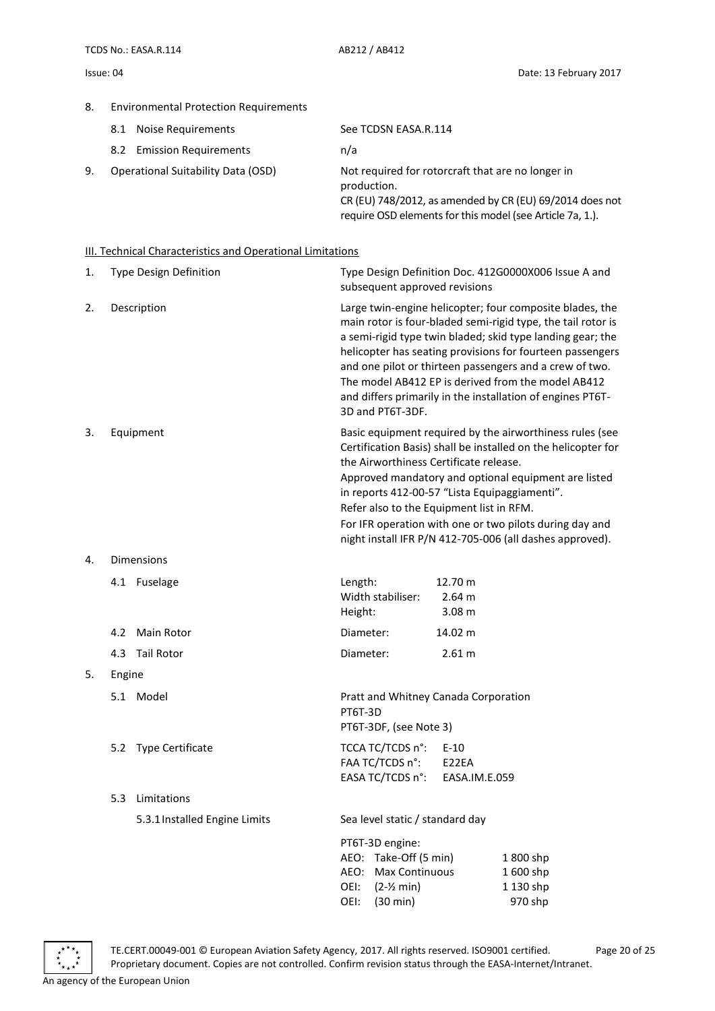#### 8. Environmental Protection Requirements

|    | 8.1 Noise Requirements                    | See TCDSN EASA.R.114                                                                                                         |
|----|-------------------------------------------|------------------------------------------------------------------------------------------------------------------------------|
|    | 8.2 Emission Requirements                 | n/a                                                                                                                          |
| 9. | <b>Operational Suitability Data (OSD)</b> | Not required for rotorcraft that are no longer in<br>production.<br>CR (EU) 748/2012, as amended by CR (EU) 69/2014 does not |

require OSD elements for this model (see Article 7a, 1.).

#### <span id="page-19-0"></span>III. Technical Characteristics and Operational Limitations

| 1. | Type Design Definition | Type Design Definition Doc. 412G0000X006 Issue A and<br>subsequent approved revisions                                                                                                                                                                                                                                                                                                                                                                  |
|----|------------------------|--------------------------------------------------------------------------------------------------------------------------------------------------------------------------------------------------------------------------------------------------------------------------------------------------------------------------------------------------------------------------------------------------------------------------------------------------------|
| 2. | Description            | Large twin-engine helicopter; four composite blades, the<br>main rotor is four-bladed semi-rigid type, the tail rotor is<br>a semi-rigid type twin bladed; skid type landing gear; the<br>helicopter has seating provisions for fourteen passengers<br>and one pilot or thirteen passengers and a crew of two.<br>The model AB412 EP is derived from the model AB412<br>and differs primarily in the installation of engines PT6T-<br>3D and PT6T-3DF. |
| 3. | Equipment              | Basic equipment required by the airworthiness rules (see<br>Certification Basis) shall be installed on the helicopter for<br>the Airworthiness Certificate release.<br>Approved mandatory and optional equipment are listed<br>in reports 412-00-57 "Lista Equipaggiamenti".<br>Refer also to the Equipment list in RFM.<br>For IFR operation with one or two pilots during day and<br>night install IFR P/N 412-705-006 (all dashes approved).        |
| 4. | <b>Dimensions</b>      |                                                                                                                                                                                                                                                                                                                                                                                                                                                        |
|    | 4.1 Fuselage           | 12.70 m<br>Length:<br>Width stabiliser:<br>2.64 m<br>Height:<br>3.08 <sub>m</sub>                                                                                                                                                                                                                                                                                                                                                                      |
|    | Main Rotor<br>4.2      | Diameter:<br>14.02 m                                                                                                                                                                                                                                                                                                                                                                                                                                   |
|    | 4.3 Tail Rotor         | Diameter:<br>2.61 m                                                                                                                                                                                                                                                                                                                                                                                                                                    |

#### 5. Engine

- 5.1 Model Pratt and Whitney Canada Corporation
- 5.2 Type Certificate TCCA TC/TCDS n°: E-10

#### 5.3 Limitations

5.3.1Installed Engine Limits Sea level static / standard day

|  | PT6T-3D engine:              |           |
|--|------------------------------|-----------|
|  | AEO: Take-Off (5 min)        | 1800 shp  |
|  | AEO: Max Continuous          | 1600 shp  |
|  | OEI: (2-1/ <sub>2</sub> min) | 1 130 shp |
|  | OEI: (30 min)                | 970 shp   |



TE.CERT.00049-001 © European Aviation Safety Agency, 2017. All rights reserved. ISO9001 certified. Page 20 of 25 Proprietary document. Copies are not controlled. Confirm revision status through the EASA-Internet/Intranet.

PT6T-3D

PT6T-3DF, (see Note 3)

FAA TC/TCDS n°: E22EA

EASA TC/TCDS n°: EASA.IM.E.059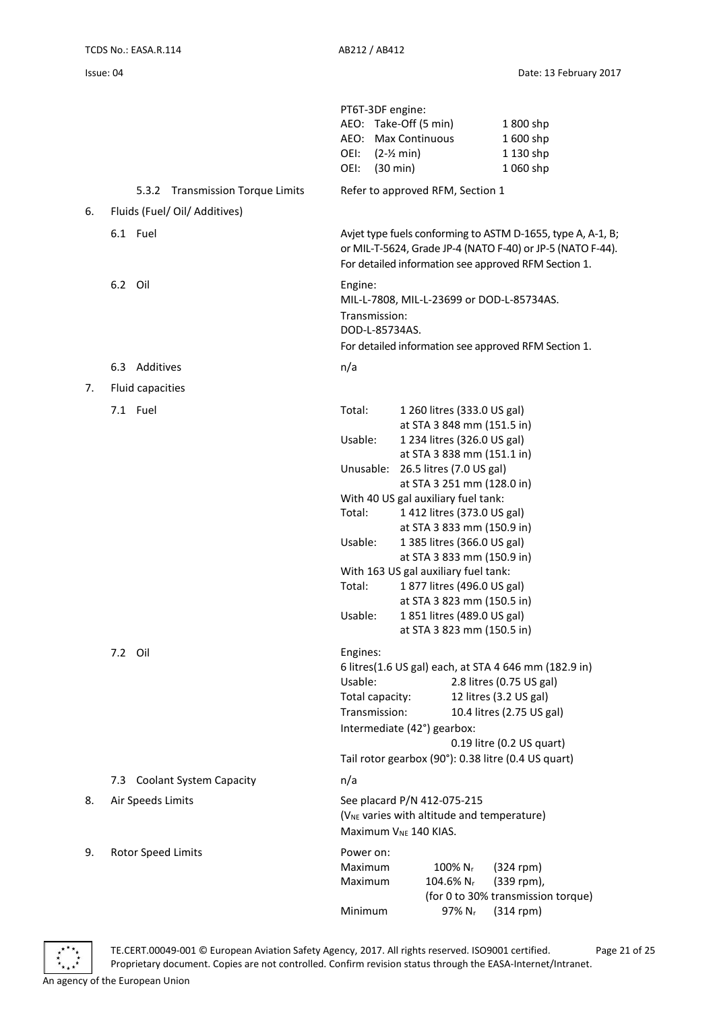|    |                                            | PT6T-3DF engine:<br>AEO: Take-Off (5 min)<br>1800 shp<br>AEO: Max Continuous<br>1600 shp<br>1 130 shp<br>OEI:<br>$(2-Y min)$<br>OEI:<br>$(30 \text{ min})$<br>1 060 shp                                                                                         |  |  |
|----|--------------------------------------------|-----------------------------------------------------------------------------------------------------------------------------------------------------------------------------------------------------------------------------------------------------------------|--|--|
|    | 5.3.2<br><b>Transmission Torque Limits</b> | Refer to approved RFM, Section 1                                                                                                                                                                                                                                |  |  |
| 6. | Fluids (Fuel/ Oil/ Additives)              |                                                                                                                                                                                                                                                                 |  |  |
|    | 6.1 Fuel                                   | Avjet type fuels conforming to ASTM D-1655, type A, A-1, B;<br>or MIL-T-5624, Grade JP-4 (NATO F-40) or JP-5 (NATO F-44).<br>For detailed information see approved RFM Section 1.                                                                               |  |  |
|    | 6.2 Oil                                    | Engine:<br>MIL-L-7808, MIL-L-23699 or DOD-L-85734AS.<br>Transmission:<br>DOD-L-85734AS.<br>For detailed information see approved RFM Section 1.                                                                                                                 |  |  |
|    | 6.3 Additives                              | n/a                                                                                                                                                                                                                                                             |  |  |
| 7. | Fluid capacities                           |                                                                                                                                                                                                                                                                 |  |  |
|    | 7.1 Fuel                                   | Total:<br>1 260 litres (333.0 US gal)                                                                                                                                                                                                                           |  |  |
|    |                                            | at STA 3 848 mm (151.5 in)<br>Usable:<br>1 234 litres (326.0 US gal)<br>at STA 3 838 mm (151.1 in)                                                                                                                                                              |  |  |
|    |                                            | Unusable:<br>26.5 litres (7.0 US gal)<br>at STA 3 251 mm (128.0 in)                                                                                                                                                                                             |  |  |
|    |                                            | With 40 US gal auxiliary fuel tank:                                                                                                                                                                                                                             |  |  |
|    |                                            | 1 412 litres (373.0 US gal)<br>Total:                                                                                                                                                                                                                           |  |  |
|    |                                            | at STA 3 833 mm (150.9 in)                                                                                                                                                                                                                                      |  |  |
|    |                                            | Usable:<br>1 385 litres (366.0 US gal)                                                                                                                                                                                                                          |  |  |
|    |                                            | at STA 3 833 mm (150.9 in)<br>With 163 US gal auxiliary fuel tank:                                                                                                                                                                                              |  |  |
|    |                                            | 1 877 litres (496.0 US gal)<br>Total:                                                                                                                                                                                                                           |  |  |
|    |                                            | at STA 3 823 mm (150.5 in)                                                                                                                                                                                                                                      |  |  |
|    |                                            | Usable:<br>1851 litres (489.0 US gal)                                                                                                                                                                                                                           |  |  |
|    |                                            | at STA 3 823 mm (150.5 in)                                                                                                                                                                                                                                      |  |  |
|    | 7.2 Oil                                    | Engines:<br>6 litres(1.6 US gal) each, at STA 4 646 mm (182.9 in)<br>Usable:<br>2.8 litres (0.75 US gal)<br>Total capacity:<br>12 litres (3.2 US gal)<br>Transmission:<br>10.4 litres (2.75 US gal)<br>Intermediate (42°) gearbox:<br>0.19 litre (0.2 US quart) |  |  |
|    |                                            | Tail rotor gearbox (90°): 0.38 litre (0.4 US quart)                                                                                                                                                                                                             |  |  |
|    | <b>Coolant System Capacity</b><br>7.3      | n/a                                                                                                                                                                                                                                                             |  |  |
| 8. | Air Speeds Limits                          | See placard P/N 412-075-215<br>(V <sub>NE</sub> varies with altitude and temperature)<br>Maximum V <sub>NE</sub> 140 KIAS.                                                                                                                                      |  |  |
| 9. | Rotor Speed Limits                         | Power on:<br>Maximum<br>$100\%$ N <sub>r</sub><br>$(324$ rpm)<br>Maximum<br>104.6% $N_r$<br>(339 rpm),<br>(for 0 to 30% transmission torque)                                                                                                                    |  |  |
|    |                                            | Minimum<br>97% Nr<br>$(314$ rpm)                                                                                                                                                                                                                                |  |  |

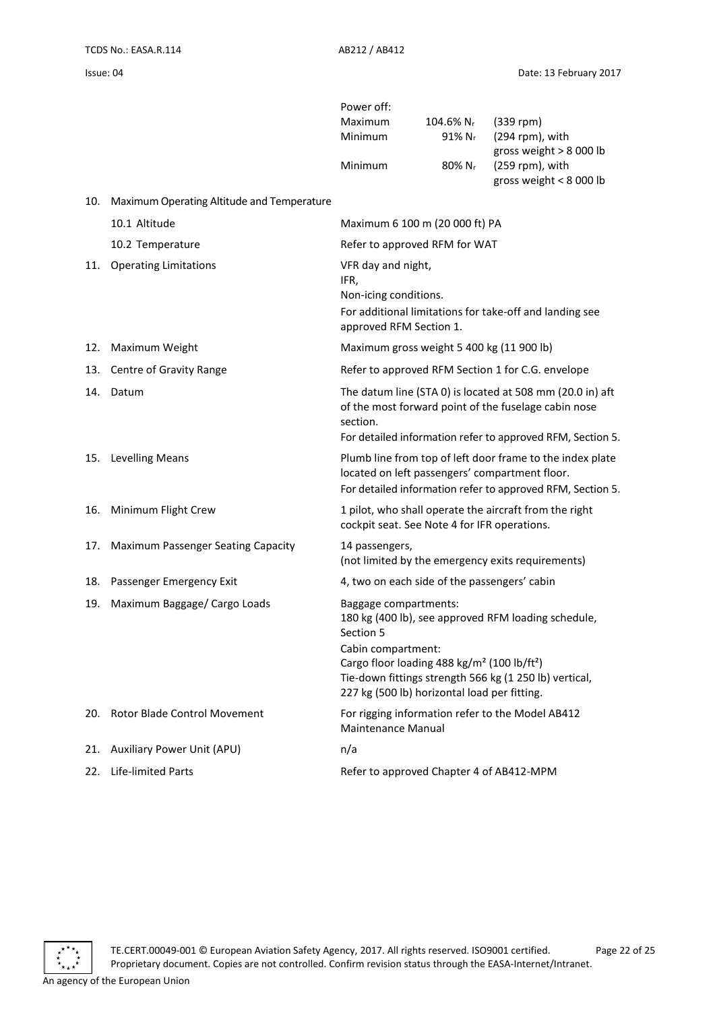Power off:

|     |                                            | Maximum<br><b>Minimum</b>                                                                                                                                                                                                                                                                        | 104.6% Nr<br>$91\%$ N <sub>r</sub>           | $(339$ rpm)<br>(294 rpm), with<br>gross weight > 8 000 lb                                                                                                                       |
|-----|--------------------------------------------|--------------------------------------------------------------------------------------------------------------------------------------------------------------------------------------------------------------------------------------------------------------------------------------------------|----------------------------------------------|---------------------------------------------------------------------------------------------------------------------------------------------------------------------------------|
|     |                                            | Minimum                                                                                                                                                                                                                                                                                          | $80\%$ N <sub>r</sub>                        | (259 rpm), with<br>gross weight < 8 000 lb                                                                                                                                      |
| 10. | Maximum Operating Altitude and Temperature |                                                                                                                                                                                                                                                                                                  |                                              |                                                                                                                                                                                 |
|     | 10.1 Altitude                              |                                                                                                                                                                                                                                                                                                  | Maximum 6 100 m (20 000 ft) PA               |                                                                                                                                                                                 |
|     | 10.2 Temperature                           |                                                                                                                                                                                                                                                                                                  | Refer to approved RFM for WAT                |                                                                                                                                                                                 |
|     | 11. Operating Limitations                  | VFR day and night,<br>IFR,<br>Non-icing conditions.<br>approved RFM Section 1.                                                                                                                                                                                                                   |                                              | For additional limitations for take-off and landing see                                                                                                                         |
| 12. | Maximum Weight                             |                                                                                                                                                                                                                                                                                                  | Maximum gross weight 5 400 kg (11 900 lb)    |                                                                                                                                                                                 |
|     | 13. Centre of Gravity Range                |                                                                                                                                                                                                                                                                                                  |                                              | Refer to approved RFM Section 1 for C.G. envelope                                                                                                                               |
|     | 14. Datum                                  | section.                                                                                                                                                                                                                                                                                         |                                              | The datum line (STA 0) is located at 508 mm (20.0 in) aft<br>of the most forward point of the fuselage cabin nose<br>For detailed information refer to approved RFM, Section 5. |
|     | 15. Levelling Means                        |                                                                                                                                                                                                                                                                                                  |                                              | Plumb line from top of left door frame to the index plate<br>located on left passengers' compartment floor.<br>For detailed information refer to approved RFM, Section 5.       |
| 16. | Minimum Flight Crew                        |                                                                                                                                                                                                                                                                                                  | cockpit seat. See Note 4 for IFR operations. | 1 pilot, who shall operate the aircraft from the right                                                                                                                          |
| 17. | <b>Maximum Passenger Seating Capacity</b>  | 14 passengers,                                                                                                                                                                                                                                                                                   |                                              | (not limited by the emergency exits requirements)                                                                                                                               |
| 18. | Passenger Emergency Exit                   |                                                                                                                                                                                                                                                                                                  | 4, two on each side of the passengers' cabin |                                                                                                                                                                                 |
| 19. | Maximum Baggage/ Cargo Loads               | Baggage compartments:<br>180 kg (400 lb), see approved RFM loading schedule,<br>Section 5<br>Cabin compartment:<br>Cargo floor loading 488 kg/m <sup>2</sup> (100 lb/ft <sup>2</sup> )<br>Tie-down fittings strength 566 kg (1 250 lb) vertical,<br>227 kg (500 lb) horizontal load per fitting. |                                              |                                                                                                                                                                                 |
| 20. | Rotor Blade Control Movement               | <b>Maintenance Manual</b>                                                                                                                                                                                                                                                                        |                                              | For rigging information refer to the Model AB412                                                                                                                                |
| 21. | <b>Auxiliary Power Unit (APU)</b>          | n/a                                                                                                                                                                                                                                                                                              |                                              |                                                                                                                                                                                 |
| 22. | Life-limited Parts                         |                                                                                                                                                                                                                                                                                                  | Refer to approved Chapter 4 of AB412-MPM     |                                                                                                                                                                                 |

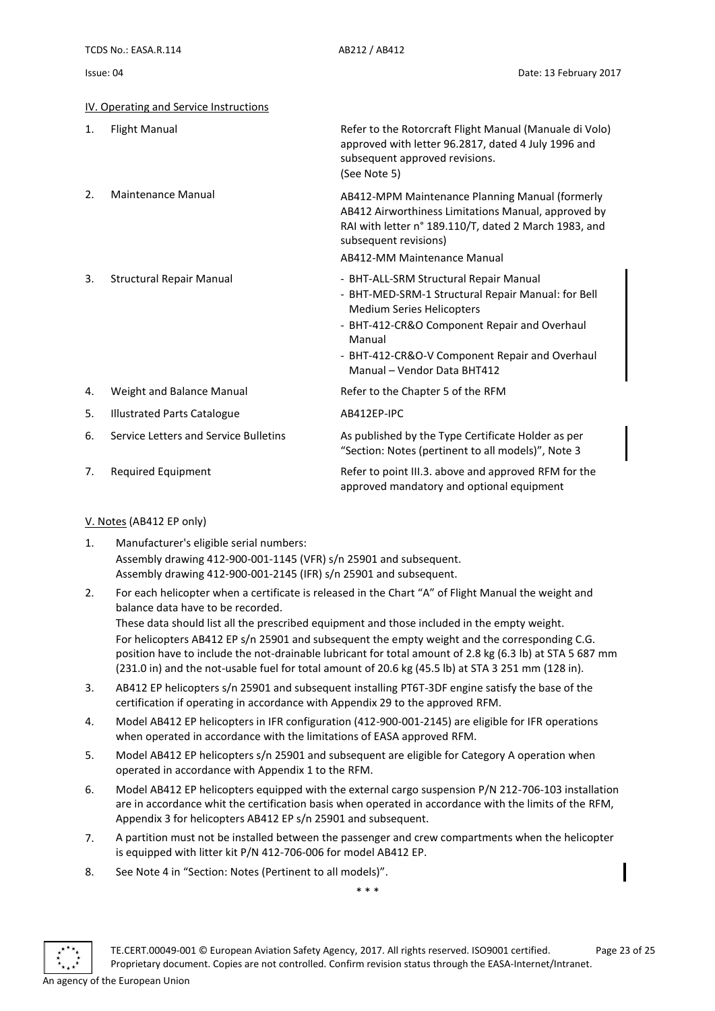| Issue: I | 04 |
|----------|----|
|----------|----|

<span id="page-22-0"></span>

|    | IV. Operating and Service Instructions |                                                                                                                                                                                                                                                                             |
|----|----------------------------------------|-----------------------------------------------------------------------------------------------------------------------------------------------------------------------------------------------------------------------------------------------------------------------------|
| 1. | <b>Flight Manual</b>                   | Refer to the Rotorcraft Flight Manual (Manuale di Volo)<br>approved with letter 96.2817, dated 4 July 1996 and<br>subsequent approved revisions.<br>(See Note 5)                                                                                                            |
| 2. | Maintenance Manual                     | AB412-MPM Maintenance Planning Manual (formerly<br>AB412 Airworthiness Limitations Manual, approved by<br>RAI with letter n° 189.110/T, dated 2 March 1983, and<br>subsequent revisions)<br>AB412-MM Maintenance Manual                                                     |
| 3. | <b>Structural Repair Manual</b>        | - BHT-ALL-SRM Structural Repair Manual<br>- BHT-MED-SRM-1 Structural Repair Manual: for Bell<br><b>Medium Series Helicopters</b><br>- BHT-412-CR&O Component Repair and Overhaul<br>Manual<br>- BHT-412-CR&O-V Component Repair and Overhaul<br>Manual - Vendor Data BHT412 |
| 4. | Weight and Balance Manual              | Refer to the Chapter 5 of the RFM                                                                                                                                                                                                                                           |
| 5. | <b>Illustrated Parts Catalogue</b>     | AB412EP-IPC                                                                                                                                                                                                                                                                 |
| 6. | Service Letters and Service Bulletins  | As published by the Type Certificate Holder as per<br>"Section: Notes (pertinent to all models)", Note 3                                                                                                                                                                    |
| 7. | Required Equipment                     | Refer to point III.3. above and approved RFM for the<br>approved mandatory and optional equipment                                                                                                                                                                           |

#### <span id="page-22-1"></span>V. Notes (AB412 EP only)

- 1. Manufacturer's eligible serial numbers: Assembly drawing 412-900-001-1145 (VFR) s/n 25901 and subsequent. Assembly drawing 412-900-001-2145 (IFR) s/n 25901 and subsequent.
- 2. For each helicopter when a certificate is released in the Chart "A" of Flight Manual the weight and balance data have to be recorded. These data should list all the prescribed equipment and those included in the empty weight. For helicopters AB412 EP s/n 25901 and subsequent the empty weight and the corresponding C.G.

position have to include the not-drainable lubricant for total amount of 2.8 kg (6.3 lb) at STA 5 687 mm (231.0 in) and the not-usable fuel for total amount of 20.6 kg (45.5 lb) at STA 3 251 mm (128 in).

- 3. AB412 EP helicopters s/n 25901 and subsequent installing PT6T-3DF engine satisfy the base of the certification if operating in accordance with Appendix 29 to the approved RFM.
- 4. Model AB412 EP helicopters in IFR configuration (412-900-001-2145) are eligible for IFR operations when operated in accordance with the limitations of EASA approved RFM.
- 5. Model AB412 EP helicopters s/n 25901 and subsequent are eligible for Category A operation when operated in accordance with Appendix 1 to the RFM.
- 6. Model AB412 EP helicopters equipped with the external cargo suspension P/N 212-706-103 installation are in accordance whit the certification basis when operated in accordance with the limits of the RFM, Appendix 3 for helicopters AB412 EP s/n 25901 and subsequent.
- 7. A partition must not be installed between the passenger and crew compartments when the helicopter is equipped with litter kit P/N 412-706-006 for model AB412 EP.
- 8. See Note 4 in "Section: Notes (Pertinent to all models)".

\* \* \*

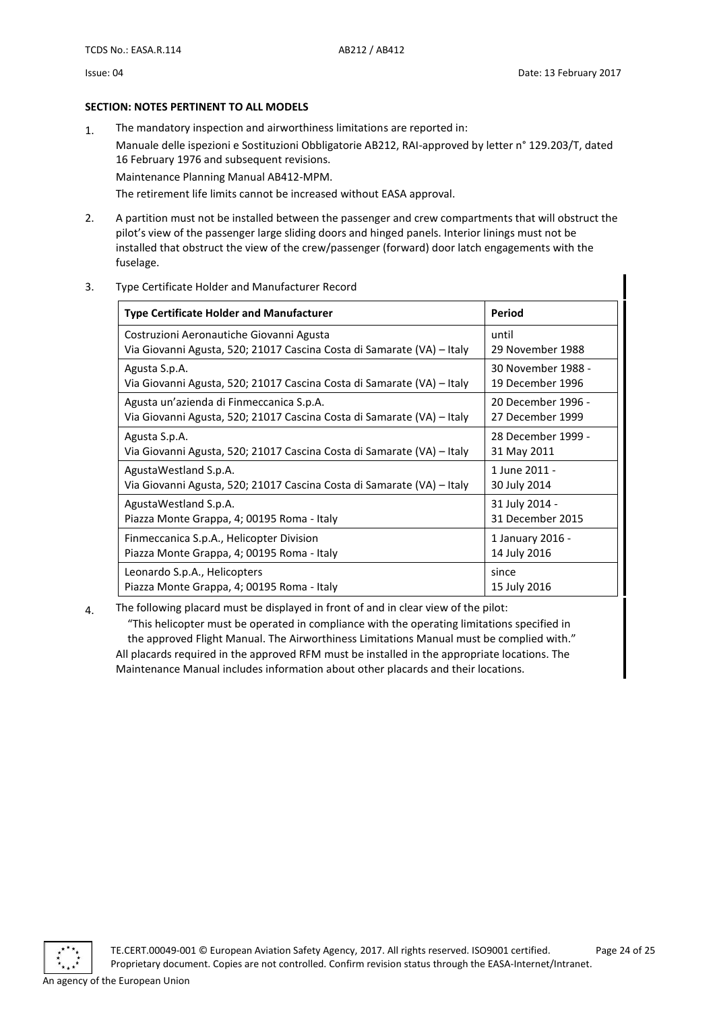#### <span id="page-23-0"></span>**SECTION: NOTES PERTINENT TO ALL MODELS**

1. The mandatory inspection and airworthiness limitations are reported in:

Manuale delle ispezioni e Sostituzioni Obbligatorie AB212, RAI-approved by letter n° 129.203/T, dated 16 February 1976 and subsequent revisions.

Maintenance Planning Manual AB412-MPM.

The retirement life limits cannot be increased without EASA approval.

- 2. A partition must not be installed between the passenger and crew compartments that will obstruct the pilot's view of the passenger large sliding doors and hinged panels. Interior linings must not be installed that obstruct the view of the crew/passenger (forward) door latch engagements with the fuselage.
- 3. Type Certificate Holder and Manufacturer Record

| <b>Type Certificate Holder and Manufacturer</b>                        | Period             |
|------------------------------------------------------------------------|--------------------|
| Costruzioni Aeronautiche Giovanni Agusta                               | until              |
| Via Giovanni Agusta, 520; 21017 Cascina Costa di Samarate (VA) – Italy | 29 November 1988   |
| Agusta S.p.A.                                                          | 30 November 1988 - |
| Via Giovanni Agusta, 520; 21017 Cascina Costa di Samarate (VA) – Italy | 19 December 1996   |
| Agusta un'azienda di Finmeccanica S.p.A.                               | 20 December 1996 - |
| Via Giovanni Agusta, 520; 21017 Cascina Costa di Samarate (VA) – Italy | 27 December 1999   |
| Agusta S.p.A.                                                          | 28 December 1999 - |
| Via Giovanni Agusta, 520; 21017 Cascina Costa di Samarate (VA) – Italy | 31 May 2011        |
| AgustaWestland S.p.A.                                                  | 1 June 2011 -      |
| Via Giovanni Agusta, 520; 21017 Cascina Costa di Samarate (VA) – Italy | 30 July 2014       |
| AgustaWestland S.p.A.                                                  | 31 July 2014 -     |
| Piazza Monte Grappa, 4; 00195 Roma - Italy                             | 31 December 2015   |
| Finmeccanica S.p.A., Helicopter Division                               | 1 January 2016 -   |
| Piazza Monte Grappa, 4; 00195 Roma - Italy                             | 14 July 2016       |
| Leonardo S.p.A., Helicopters                                           | since              |
| Piazza Monte Grappa, 4; 00195 Roma - Italy                             | 15 July 2016       |

4. The following placard must be displayed in front of and in clear view of the pilot:

"This helicopter must be operated in compliance with the operating limitations specified in the approved Flight Manual. The Airworthiness Limitations Manual must be complied with." All placards required in the approved RFM must be installed in the appropriate locations. The Maintenance Manual includes information about other placards and their locations.